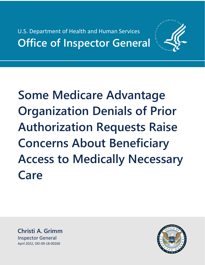U.S. Department of Health and Human Services **Office of Inspector General** 



**Some Medicare Advantage Organization Denials of Prior Authorization Requests Raise Concerns About Beneficiary Access to Medically Necessary Care** 

**Christi A. Grimm** Inspector General April 2022, OEI-09-18-00260

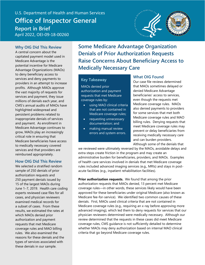# U.S. Department of Health and Human Services U.S. Department of Health and Human Services **Office of Inspector General Office of Inspector General Report in Brief Report in Brief** April 2022, OEI-09-18-00260 April 2022, OEI-09-18-00260



#### **Why OIG Did This Review**

A central concern about the capitated payment model used in Medicare Advantage is the potential incentive for Medicare Advantage Organizations (MAOs) to deny beneficiary access to services and deny payments to providers in an attempt to increase profits. Although MAOs approve the vast majority of requests for services and payment, they issue millions of denials each year, and CMS's annual audits of MAOs have highlighted widespread and persistent problems related to inappropriate denials of services and payment. As enrollment in Medicare Advantage continues to grow, MAOs play an increasingly critical role in ensuring that Medicare beneficiaries have access to medically necessary covered services and that providers are reimbursed appropriately.

#### **How OIG Did This Review**

We selected a stratified random sample of 250 denials of prior authorization requests and 250 payment denials issued by 15 of the largest MAOs during June 1−7, 2019. Health care coding experts reviewed case files for all cases, and physician reviewers examined medical records for a subset of cases. From these results, we estimated the rates at which MAOs denied prior authorization and payment requests that met Medicare coverage rules and MAO billing rules. We also examined the reasons for these denials and the types of services associated with these denials in our sample.

**Some Medicare Advantage Organization Denials of Prior Authorization Requests Raise Concerns About Beneficiary Access to Medically Necessary Care** 

#### **Key Takeaway**

MAOs denied prior authorization and payment requests that met Medicare coverage rules by:

- using MAO clinical criteria that are not contained in Medicare coverage rules;
- requesting unnecessary documentation; and
- making manual review errors and system errors.

#### **What OIG Found**

Our case file reviews determined that MAOs sometimes delayed or denied Medicare Advantage beneficiaries' access to services, even though the requests met Medicare coverage rules. MAOs also denied payments to providers for some services that met both Medicare coverage rules and MAO billing rules. Denying requests that meet Medicare coverage rules may prevent or delay beneficiaries from receiving medically necessary care and can burden providers. Although some of the denials that

we reviewed were ultimately reversed by the MAOs, avoidable delays and extra steps create friction in the program and may create an administrative burden for beneficiaries, providers, and MAOs. Examples of health care services involved in denials that met Medicare coverage rules included advanced imaging services (e.g., MRIs) and stays in postacute facilities (e.g., inpatient rehabilitation facilities).

**Prior authorization requests.** We found that among the prior authorization requests that MAOs denied, 13 percent met Medicare coverage rules—in other words, these services likely would have been approved for these beneficiaries under original Medicare (also known as Medicare fee-for-service). We identified two common causes of these denials. First, MAOs used clinical criteria that are not contained in Medicare coverage rules (e.g., requiring an x-ray before approving more advanced imaging), which led them to deny requests for services that our physician reviewers determined were medically necessary. Although our review determined that the requests in these cases did meet Medicare coverage rules, CMS guidance is not sufficiently detailed to determine whether MAOs may deny authorization based on internal MAO clinical criteria that go beyond Medicare coverage rules.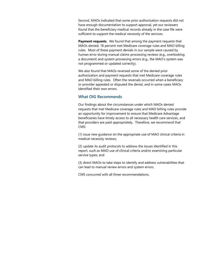Second, MAOs indicated that some prior authorization requests did not have enough documentation to support approval, yet our reviewers found that the beneficiary medical records already in the case file were sufficient to support the medical necessity of the services.

**Payment requests.** We found that among the payment requests that MAOs denied, 18 percent met Medicare coverage rules and MAO billing rules. Most of these payment denials in our sample were caused by human error during manual claims-processing reviews (e.g., overlooking a document) and system processing errors (e.g., the MAO's system was not programmed or updated correctly).

We also found that MAOs reversed some of the denied prior authorization and payment requests that met Medicare coverage rules and MAO billing rules. Often the reversals occurred when a beneficiary or provider appealed or disputed the denial, and in some cases MAOs identified their own errors.

#### **What OIG Recommends**

Our findings about the circumstances under which MAOs denied requests that met Medicare coverage rules and MAO billing rules provide an opportunity for improvement to ensure that Medicare Advantage beneficiaries have timely access to all necessary health care services, and that providers are paid appropriately. Therefore, we recommend that CMS:

(1) issue new guidance on the appropriate use of MAO clinical criteria in medical necessity reviews;

(2) update its audit protocols to address the issues identified in this report, such as MAO use of clinical criteria and/or examining particular service types; and

(3) direct MAOs to take steps to identify and address vulnerabilities that can lead to manual review errors and system errors.

CMS concurred with all three recommendations.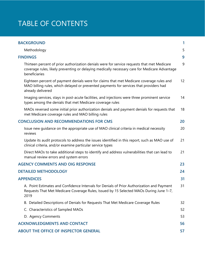# TABLE OF CONTENTS

| <b>BACKGROUND</b>                                                                                                                                                                                             | 1  |
|---------------------------------------------------------------------------------------------------------------------------------------------------------------------------------------------------------------|----|
| Methodology                                                                                                                                                                                                   | 5  |
| <b>FINDINGS</b>                                                                                                                                                                                               | 9  |
| Thirteen percent of prior authorization denials were for service requests that met Medicare<br>coverage rules, likely preventing or delaying medically necessary care for Medicare Advantage<br>beneficiaries | 9  |
| Eighteen percent of payment denials were for claims that met Medicare coverage rules and<br>MAO billing rules, which delayed or prevented payments for services that providers had<br>already delivered       | 12 |
| Imaging services, stays in post-acute facilities, and injections were three prominent service<br>types among the denials that met Medicare coverage rules                                                     | 14 |
| MAOs reversed some initial prior authorization denials and payment denials for requests that<br>met Medicare coverage rules and MAO billing rules                                                             | 18 |
| <b>CONCLUSION AND RECOMMENDATIONS FOR CMS</b>                                                                                                                                                                 | 20 |
| Issue new guidance on the appropriate use of MAO clinical criteria in medical necessity<br>reviews                                                                                                            | 20 |
| Update its audit protocols to address the issues identified in this report, such as MAO use of<br>clinical criteria, and/or examine particular service types                                                  | 21 |
| Direct MAOs to take additional steps to identify and address vulnerabilities that can lead to<br>manual review errors and system errors                                                                       | 21 |
| <b>AGENCY COMMENTS AND OIG RESPONSE</b>                                                                                                                                                                       | 23 |
| <b>DETAILED METHODOLOGY</b>                                                                                                                                                                                   | 24 |
| <b>APPENDICES</b>                                                                                                                                                                                             | 31 |
| A. Point Estimates and Confidence Intervals for Denials of Prior Authorization and Payment<br>Requests That Met Medicare Coverage Rules, Issued by 15 Selected MAOs During June 1-7,<br>2019                  | 31 |
| B. Detailed Descriptions of Denials for Requests That Met Medicare Coverage Rules                                                                                                                             | 32 |
| C. Characteristics of Sampled MAOs                                                                                                                                                                            | 52 |
| D. Agency Comments                                                                                                                                                                                            | 53 |
| <b>ACKNOWLEDGMENTS AND CONTACT</b>                                                                                                                                                                            | 56 |
| <b>ABOUT THE OFFICE OF INSPECTOR GENERAL</b>                                                                                                                                                                  | 57 |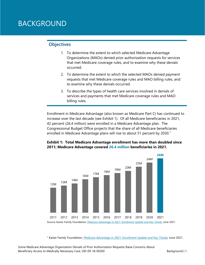# BACKGROUND

#### **Objectives**

- 1. To determine the extent to which selected Medicare Advantage Organizations (MAOs) denied prior authorization requests for services that met Medicare coverage rules, and to examine why these denials occurred.
- 2. To determine the extent to which the selected MAOs denied payment requests that met Medicare coverage rules and MAO billing rules, and to examine why these denials occurred.
- 3. To describe the types of health care services involved in denials of services and payments that met Medicare coverage rules and MAO billing rules.

Enrollment in Medicare Advantage (also known as Medicare Part C) has continued to increase over the last decade (see Exhibit 1). Of all Medicare beneficiaries in 2021, 42 percent (26.4 million) were enrolled in a Medicare Advantage plan. The Congressional Budget Office projects that the share of all Medicare beneficiaries enrolled in Medicare Advantage plans will rise to about 5[1](#page-4-0) percent by 2030.<sup>1</sup>





<span id="page-4-0"></span><sup>1</sup> Kaiser Family Foundation, *[Medicare Advantage in 2021: Enrollment Update and Key Trends](https://www.kff.org/medicare/issue-brief/medicare-advantage-in-2021-enrollment-update-and-key-trends/)*, June 2021.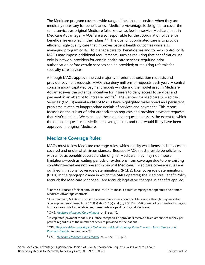The Medicare program covers a wide range of health care services when they are medically necessary for beneficiaries. Medicare Advantage is designed to cover the same services as original Medicare (also known as fee-for-service Medicare), but in Medicare Advantage, MAOs<sup>[2](#page-5-0)</sup> are also responsible for the coordination of care for beneficiaries enrolled in their plans. $3, 4$  $3, 4$  $3, 4$  The goal of coordinated care is to provide efficient, high-quality care that improves patient health outcomes while also managing program costs. To manage care for beneficiaries and to help control costs, MAOs may impose additional requirements, such as requiring that beneficiaries use only in-network providers for certain health care services; requiring prior authorization before certain services can be provided; or requiring referrals for specialty care services.

Although MAOs approve the vast majority of prior authorization requests and provider payment requests, MAOs also deny millions of requests each year. A central concern about capitated payment models—including the model used in Medicare Advantage—is the potential incentive for insurers to deny access to services and payment in an attempt to increase profits.<sup>[5](#page-5-3)</sup> The Centers for Medicare & Medicaid Services' (CMS's) annual audits of MAOs have highlighted widespread and persistent problems related to inappropriate denials of services and payment.<sup>[6](#page-5-4)</sup> This report focuses on the subset of prior authorization requests and provider payment requests that MAOs denied. We examined these denied requests to assess the extent to which the denied requests met Medicare coverage rules, and thus would likely have been approved in original Medicare.

#### **Medicare Coverage Rules**

MAOs must follow Medicare coverage rules, which specify what items and services are covered and under what circumstances. Because MAOs must provide beneficiaries with all basic benefits covered under original Medicare, they may not impose limitations—such as waiting periods or exclusions from coverage due to pre-existing conditions—that are not present in original Medicare.<sup>[7](#page-5-5)</sup> Medicare coverage rules are outlined in national coverage determinations (NCDs); local coverage determinations (LCDs) in the geographic area in which the MAO operates; the Medicare Benefit Policy Manual; the Medicare Managed Care Manual; legislative changes in benefits applied

<span id="page-5-0"></span><sup>2</sup> For the purposes of this report, we use "MAO" to mean a parent company that operates one or more Medicare Advantage contracts.

<span id="page-5-1"></span> $3$  At a minimum, MAOs must cover the same services as in original Medicare, although they may also offer supplemental benefits. 42 CFR §§ 422.101(a) and (b); 422.102. MAOs are not responsible for paying hospice care costs for beneficiaries; these costs are paid by original Medicare.

<span id="page-5-3"></span><span id="page-5-2"></span><sup>4</sup> CMS, *[Medicare Managed Care Manual](https://www.cms.gov/regulations-and-guidance/guidance/manuals/downloads/mc86c05.pdf)*, ch. 5, sec. 10.

<sup>5</sup> In capitated payment models, insurance companies or providers receive a fixed amount of money per patient regardless of the number of services provided to the patient.

<span id="page-5-4"></span><sup>6</sup> OIG, *[Medicare Advantage Appeal Outcomes and Audit Findings Raise Concerns About Service and](https://oig.hhs.gov/oei/reports/oei-09-16-00410.asp)  [Payment Denials](https://oig.hhs.gov/oei/reports/oei-09-16-00410.asp)*, September 2018.

<span id="page-5-5"></span><sup>7</sup> CMS, *[Medicare Managed Care Manual](https://www.cms.gov/Regulations-and-Guidance/Guidance/Manuals/Downloads/mc86c04.pdf)*, ch. 4, sec. 10.2. p. 7.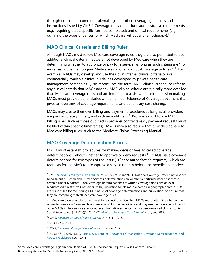through notice-and-comment rulemaking, and other coverage guidelines and instructions issued by  $CMS<sup>8</sup>$  $CMS<sup>8</sup>$  $CMS<sup>8</sup>$  Coverage rules can include administrative requirements (e.g., requiring that a specific form be completed) and clinical requirements (e.g., outlining the types of cancer for which Medicare will cover chemotherapy). $9$ 

### **MAO Clinical Criteria and Billing Rules**

Although MAOs must follow Medicare coverage rules, they are also permitted to use additional clinical criteria that were not developed by Medicare when they are determining whether to authorize or pay for a service, as long as such criteria are "no more restrictive than original Medicare's national and local coverage policies."<sup>10</sup> For example, MAOs may develop and use their own internal clinical criteria or use commercially available clinical guidelines developed by private health care management companies. (This report uses the term "MAO clinical criteria" to refer to any clinical criteria that MAOs adopt.) MAO clinical criteria are typically more detailed than Medicare coverage rules and are intended to assist with clinical decision making. MAOs must provide beneficiaries with an annual Evidence of Coverage document that gives an overview of coverage requirements and beneficiary cost-sharing. $^{11}$  $^{11}$  $^{11}$ 

MAOs may create their own billing and payment procedures as long as all providers are paid accurately, timely, and with an audit trail.<sup>[12](#page-6-4)</sup> Providers must follow MAO billing rules, such as those outlined in provider contracts (e.g., payment requests must be filed within specific timeframes). MAOs may also require that providers adhere to Medicare billing rules, such as the Medicare Claims Processing Manual.

### **MAO Coverage Determination Process**

MAOs must establish procedures for making decisions—also called coverage determinations—about whether to approve or deny requests.<sup>[13](#page-6-5)</sup> MAOs issue coverage determinations for two types of requests: (1) "prior authorization requests," which are requests for the MAO to preapprove a service or item before the beneficiary receives

<span id="page-6-0"></span><sup>8</sup> CMS, *[Medicare Managed Care Manual](https://www.cms.gov/Regulations-and-Guidance/Guidance/Manuals/Downloads/mc86c04.pdf)*, ch. 4, secs. 90.2 and 90.3. National Coverage Determinations are Department of Health and Human Services determinations on whether a particular item or service is covered under Medicare. Local coverage determinations are written coverage decisions of local Medicare Administrative Contractors with jurisdiction for claims in a particular geographic area. MAOs are responsible for monitoring CMS's national coverage determinations and publications to ensure that they are complying with all Medicare coverage rules.

<span id="page-6-1"></span><sup>9</sup> If Medicare coverage rules do not exist for a specific service, then MAOs must determine whether the requested service is "reasonable and necessary" for the beneficiary and may use the coverage policies of other MAOs in their service area or other authoritative evidence such as peer-reviewed clinical studies. Social Security Act § 1862(a)(1)(A). CMS, *[Medicare Managed Care Manual](https://www.cms.gov/Regulations-and-Guidance/Guidance/Manuals/Downloads/mc86c04.pdf)*, ch. 4, sec. 90.5.

<sup>10</sup> CMS, *[Medicare Managed Care Manual](https://www.cms.gov/Regulations-and-Guidance/Guidance/Manuals/Downloads/mc86c04.pdf)*, ch. 4, sec. 10.16.

<span id="page-6-4"></span><span id="page-6-3"></span><span id="page-6-2"></span><sup>11</sup> 42 CFR § 422.111.

<sup>12</sup> CMS, *[Medicare Managed Care Manual](https://www.cms.gov/Regulations-and-Guidance/Guidance/Manuals/Downloads/mc86c04.pdf)*, ch. 4, sec. 10.2.

<span id="page-6-5"></span>13 42 CFR § 422.566; CMS, Parts C & D Enrollee Grievances, Organization/Coverage Determinations, and [Appeals Guidance,](https://www.cms.gov/Medicare/Appeals-and-Grievances/MMCAG/Downloads/Parts-C-and-D-Enrollee-Grievances-Organization-Coverage-Determinations-and-Appeals-Guidance.pdf) sec. 10.4.4.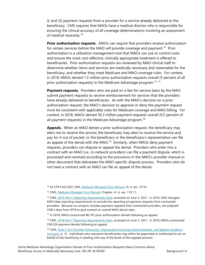it; and (2) payment requests from a provider for a service already delivered to the beneficiary. CMS requires that MAOs have a medical director who is responsible for ensuring the clinical accuracy of all coverage determinations involving an assessment of medical necessity.<sup>[14](#page-7-0)</sup>

**Prior authorization requests.** MAOs can require that providers receive authorization for certain services before the MAO will provide coverage and payment.<sup>15</sup> Prior authorization is a utilization management tool that MAOs can use to control costs and ensure the most cost-effective, clinically appropriate treatment is offered to beneficiaries. Prior authorization requests are reviewed by MAO clinical staff to determine whether items and services are medically necessary and reasonable for the beneficiary, and whether they meet Medicare and MAO coverage rules. For context, in 2018, MAOs denied 1.5 million prior authorization requests overall (5 percent of all prior authorization requests) in the Medicare Advantage program.<sup>[16,](#page-7-2) [17](#page-7-3)</sup>

**Payment requests.** Providers who are paid on a fee-for-service basis by the MAO submit payment requests to receive reimbursement for services that the providers have already delivered to beneficiaries. As with the MAO's decision on a prior authorization request, the MAO's decision to approve or deny the payment request must be consistent with applicable rules for Medicare coverage and MAO billing. For context, in 2018, MAOs denied 56.2 million payment requests overall (9.5 percent of all payment requests) in the Medicare Advantage program.<sup>[18](#page-7-4)</sup>

**Appeals.** When an MAO denies a prior authorization request, the beneficiary may elect not to receive the service; the beneficiary may elect to receive the service and pay for it out of pocket; or the beneficiary or the beneficiary's representative can file an appeal of the denial with the MAO.<sup>19</sup> Similarly, when MAOs deny payment requests, providers can dispute or appeal the denial. Providers who enter into a contract with an MAO (i.e., in-network providers) can file a payment dispute, which is processed and resolved according to the provisions in the MAO's provider manual or other document that delineates the MAO-specific dispute process. Providers who do not have a contract with an MAO can file an appeal of the denial.

<span id="page-7-0"></span><sup>14</sup> 42 CFR § 422.562; CMS, *[Medicare Managed Care Manual](https://www.cms.gov/Regulations-and-Guidance/Guidance/Manuals/Downloads/mc86c04.pdf)*, ch. 4, sec. 10.16.

<sup>15</sup> CMS, *[Medicare Managed Care Manual](https://www.cms.gov/Regulations-and-Guidance/Guidance/Manuals/Downloads/mc86c04.pdf)*, Chapter, ch. 4, sec. 110.1.1.

<span id="page-7-2"></span><span id="page-7-1"></span><sup>16</sup> CMS, *[2018 Part C Reporting Requirements Data](https://www.cms.gov/Medicare/Prescription-Drug-Coverage/PrescriptionDrugCovContra/PartCDDataValidation)*, accessed on June 3, 2021. In 2019, CMS changed MAO data reporting requirements to exclude the reporting of payment requests from contracted providers. Because our analysis includes payment requests from contracted providers, we analyzed CMS's data from 2018 to give context on overall MAO denial rates.

<span id="page-7-3"></span><sup>17</sup> In 2018, MAOs overturned 86,193 prior authorization denials following an appeal.

<span id="page-7-4"></span><sup>18</sup> CMS, *[2018 Part C Reporting Requirements Data](https://www.cms.gov/Medicare/Prescription-Drug-Coverage/PrescriptionDrugCovContra/PartCDDataValidation)*, accessed on June 3, 2021. In 2018, MAOs overturned 258,524 payment denials following an appeal.

<span id="page-7-5"></span><sup>19</sup> CMS, *[Parts C & D Enrollee Grievances, Organization/Coverage Determinations, and Appeals Guidance](https://www.cms.gov/Medicare/Appeals-and-Grievances/MMCAG/Downloads/Parts-C-and-D-Enrollee-Grievances-Organization-Coverage-Determinations-and-Appeals-Guidance.pdf)  [\(cms.gov\)](https://www.cms.gov/Medicare/Appeals-and-Grievances/MMCAG/Downloads/Parts-C-and-D-Enrollee-Grievances-Organization-Coverage-Determinations-and-Appeals-Guidance.pdf)*, p. 15. Individuals who represent beneficiaries may either be appointed or authorized to act on behalf of the beneficiary in dealing with any of the levels of the appeals process.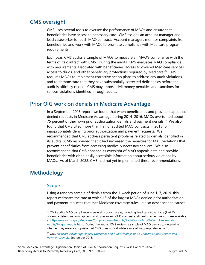# **CMS oversight**

CMS uses several tools to oversee the performance of MAOs and ensure that beneficiaries have access to necessary care. CMS assigns an account manager and lead caseworker for each MAO contract. Account managers monitor complaints from beneficiaries and work with MAOs to promote compliance with Medicare program requirements.

Each year, CMS audits a sample of MAOs to measure an MAO's compliance with the terms of its contract with CMS. During the audits, CMS evaluates MAO compliance with requirements associated with beneficiaries' access to covered Medicare services, access to drugs, and other beneficiary protections required by Medicare.<sup>[20](#page-8-0)</sup> CMS requires MAOs to implement corrective action plans to address any audit violations and to demonstrate that they have substantially corrected deficiencies before the audit is officially closed. CMS may impose civil money penalties and sanctions for serious violations identified through audits.

# **Prior OIG work on denials in Medicare Advantage**

In a September 2018 report, we found that when beneficiaries and providers appealed denied requests in Medicare Advantage during 2014−2016, MAOs overturned about 75 percent of their own prior authorization denials and payment denials.<sup>[21](#page-8-1)</sup> We also found that CMS cited more than half of audited MAO contracts in 2015 for inappropriately denying prior authorization and payment requests. We recommended that CMS address persistent problems related to denials identified in its audits. CMS responded that it had increased the penalties for MAO violations that prevent beneficiaries from accessing medically necessary services. We also recommended that CMS enhance its oversight of MAO appeals data and provide beneficiaries with clear, easily accessible information about serious violations by MAOs. As of March 2022, CMS had not yet implemented these recommendations.

# **Methodology**

### **Scope**

Using a random sample of denials from the 1-week period of June 1−7, 2019, this report estimates the rate at which 15 of the largest MAOs denied prior authorization and payment requests that met Medicare coverage rules. It also describes the causes

<span id="page-8-0"></span><sup>20</sup> CMS audits MAO compliance in several program areas, including Medicare Advantage (Part C) coverage determinations, appeals, and grievances. CMS's annual audit enforcement reports are available a[t https://www.cms.gov/Medicare/Compliance-and-Audits/Part-C-and-Part-D-Compliance-and-](https://www.cms.gov/Medicare/Compliance-and-Audits/Part-C-and-Part-D-Compliance-and-Audits/ProgramAudits.html)[Audits/ProgramAudits.html.](https://www.cms.gov/Medicare/Compliance-and-Audits/Part-C-and-Part-D-Compliance-and-Audits/ProgramAudits.html) During the audits, CMS reviews a sample of MAO denials to determine whether they were appropriate, but CMS does not calculate a rate of inappropriate denials.

<span id="page-8-1"></span><sup>21</sup> OIG, *[Medicare Advantage Appeal Outcomes and Audit Findings Raise Concerns About Service and](https://oig.hhs.gov/oei/reports/oei-09-16-00410.asp)  [Payment Denials](https://oig.hhs.gov/oei/reports/oei-09-16-00410.asp)*, September 2018.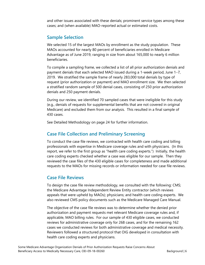and other issues associated with these denials; prominent service types among these cases; and (when available) MAO-reported actual or estimated costs.

### **Sample Selection**

We selected 15 of the largest MAOs by enrollment as the study population. These MAOs accounted for nearly 80 percent of beneficiaries enrolled in Medicare Advantage as of June 2019, ranging in size from about 165,000 to nearly 6 million beneficiaries.

To compile a sampling frame, we collected a list of all prior authorization denials and payment denials that each selected MAO issued during a 1-week period, June 1−7, 2019. We stratified the sample frame of nearly 283,000 total denials by type of request (prior authorization or payment) and MAO enrollment size. We then selected a stratified random sample of 500 denial cases, consisting of 250 prior authorization denials and 250 payment denials.

During our review, we identified 70 sampled cases that were ineligible for this study (e.g., denials of requests for supplemental benefits that are not covered in original Medicare) and excluded them from our analysis. This resulted in a final sample of 430 cases.

See Detailed Methodology on page 24 for further information.

### **Case File Collection and Preliminary Screening**

To conduct the case file reviews, we contracted with health care coding and billing professionals with expertise in Medicare coverage rules and with physicians. (In this report, we refer to the first group as "health care coding experts.") Initially, the health care coding experts checked whether a case was eligible for our sample. Then they reviewed the case files of the 430 eligible cases for completeness and made additional requests to the MAOs for missing records or information needed for case file reviews.

#### **Case File Reviews**

To design the case file review methodology, we consulted with the following: CMS; the Medicare Advantage Independent Review Entity contractor (which reviews appeals that were upheld by MAOs); physicians; and health care coding experts. We also reviewed CMS policy documents such as the Medicare Managed Care Manual.

The objective of the case file reviews was to determine whether the denied prior authorization and payment requests met relevant Medicare coverage rules and, if applicable, MAO billing rules. For our sample of 430 eligible cases, we conducted reviews for administrative coverage only for 268 cases, and for the remaining 162 cases we conducted reviews for both administrative coverage and medical necessity. Reviewers followed a structured protocol that OIG developed in consultation with health care coding experts and physicians.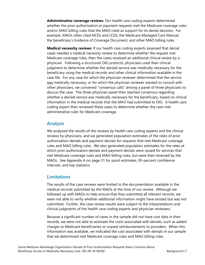**Administrative coverage reviews**: Our health care coding experts determined whether the prior authorization or payment requests met the Medicare coverage rules and/or MAO billing rules that the MAO cited as support for its denial decision. For example, MAOs often cited NCDs and LCDs; the Medicare Managed Care Manual; the beneficiary's Evidence of Coverage Document; and other MAO billing rules.

**Medical necessity reviews**: If our health care coding experts assessed that denial cases needed a medical necessity review to determine whether the request met Medicare coverage rules, then the cases received an additional clinical review by a physician. Following a structured OIG protocol, physicians used their clinical judgment to determine whether the denied service was medically necessary for the beneficiary using the medical records and other clinical information available in the case file. For any case for which the physician reviewer determined that the service was medically necessary, or for which the physician reviewer wanted to consult with other physicians, we convened "consensus calls" among a panel of three physicians to discuss the case. The three-physician panel then reached consensus regarding whether a denied service was medically necessary for the beneficiary, based on clinical information in the medical records that the MAO had submitted to OIG. A health care coding expert then reviewed these cases to determine whether the case met administrative rules for Medicare coverage.

### **Analysis**

We analyzed the results of the reviews by health care coding experts and the clinical reviews by physicians, and we generated population estimates of the rates of prior authorization denials and payment denials for requests that met Medicare coverage rules and MAO billing rules. We also generated population estimates for the rates at which prior authorization denials and payment denials were issued for services that met Medicare coverage rules and MAO billing rules, but were then reversed by the MAOs. See Appendix A on page 31 for point estimates, 95-percent confidence intervals, and key statistics.

### **Limitations**

The results of the case reviews were limited to the documentation available in the medical records submitted by the MAOs at the time of our review. Although we followed up with MAOs to help ensure that they submitted all relevant records, we were not able to verify whether additional information might have existed but was not submitted. Further, the case review results were subject to the interpretations and clinical judgments of the health care coding experts and physician reviewers.

Because a significant number of cases in the sample did not have cost data in their records, we were not able to estimate the costs associated with denials, such as added charges to Medicare beneficiaries or unpaid reimbursements to providers. When this information was available, we indicated the cost associated with denials in our sample that we determined met Medicare coverage rules and MAO billing rules.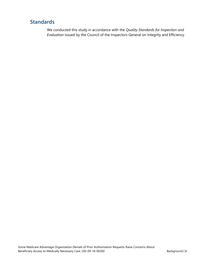# **Standards**

We conducted this study in accordance with the *Quality Standards for Inspection and Evaluation* issued by the Council of the Inspectors General on Integrity and Efficiency.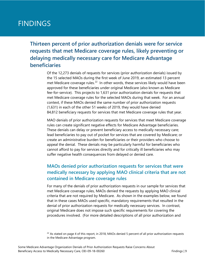# FINDINGS

**Thirteen percent of prior authorization denials were for service requests that met Medicare coverage rules, likely preventing or delaying medically necessary care for Medicare Advantage beneficiaries**

> Of the 12,273 denials of requests for services (prior authorization denials) issued by the 15 selected MAOs during the first week of June 2019, an estimated 13 percent met Medicare coverage rules.<sup>[22](#page-12-0)</sup> In other words, these services likely would have been approved for these beneficiaries under original Medicare (also known as Medicare fee-for-service). This projects to 1,631 prior authorization denials for requests that met Medicare coverage rules for the selected MAOs during that week. For an annual context, if these MAOs denied the same number of prior authorization requests (1,631) in each of the other 51 weeks of 2019, they would have denied 84,812 beneficiary requests for services that met Medicare coverage rules that year.

> MAO denials of prior authorization requests for services that meet Medicare coverage rules can create significant negative effects for Medicare Advantage beneficiaries. These denials can delay or prevent beneficiary access to medically necessary care; lead beneficiaries to pay out of pocket for services that are covered by Medicare; or create an administrative burden for beneficiaries or their providers who choose to appeal the denial. These denials may be particularly harmful for beneficiaries who cannot afford to pay for services directly and for critically ill beneficiaries who may suffer negative health consequences from delayed or denied care.

# **MAOs denied prior authorization requests for services that were medically necessary by applying MAO clinical criteria that are not contained in Medicare coverage rules**

For many of the denials of prior authorization requests in our sample for services that met Medicare coverage rules, MAOs denied the requests by applying MAO clinical criteria that are not required by Medicare. As shown in the examples below, we found that in these cases MAOs used specific, mandatory requirements that resulted in the denial of prior authorization requests for medically necessary services. In contrast, original Medicare does not impose such specific requirements for covering the procedures involved. (For more detailed descriptions of all prior authorization and

<span id="page-12-0"></span> $22$  As stated on page 4 of this report, in 2018, MAOs denied 5 percent of all prior authorization requests in the Medicare Advantage program.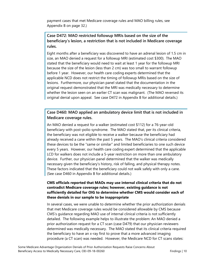payment cases that met Medicare coverage rules and MAO billing rules, see Appendix B on page 32.)

#### **Case D472: MAO restricted followup MRIs based on the size of the beneficiary's lesion, a restriction that is not included in Medicare coverage rules.**

Eight months after a beneficiary was discovered to have an adrenal lesion of 1.5 cm in size, an MAO denied a request for a followup MRI (estimated cost \$300). The MAO stated that the beneficiary would need to wait at least 1 year for the followup MRI because the size of the lesion (less than 2 cm) was too small to warrant followup before 1 year. However, our health care coding experts determined that the applicable NCD does not restrict the timing of followup MRIs based on the size of lesions. Furthermore, our physician panel stated that the documentation in the original request demonstrated that the MRI was medically necessary to determine whether the lesion seen on an earlier CT scan was malignant. (The MAO reversed its original denial upon appeal. See case D472 in Appendix B for additional details.)

### **Case D460: MAO applied an ambulatory device limit that is not included in Medicare coverage rules.**

An MAO denied a request for a walker (estimated cost \$112) for a 76-year-old beneficiary with post-polio syndrome. The MAO stated that, per its clinical criteria, the beneficiary was not eligible to receive a walker because the beneficiary had already received a cane within the past 5 years. The MAO's clinical criteria considered these devices to be the "same or similar" and limited beneficiaries to one such device every 5 years. However, our health care coding expert determined that the applicable LCD for walkers does not include a 5-year restriction on more than one ambulatory device. Further, our physician panel determined that the walker was medically necessary given the beneficiary's history, risk of falling, and physical therapy notes. These factors indicated that the beneficiary could not walk safely with only a cane. (See case D460 in Appendix B for additional details.)

#### **CMS officials reported that MAOs may use internal clinical criteria that do not contradict Medicare coverage rules; however, existing guidance is not sufficiently detailed for OIG to determine whether CMS would consider each of these denials in our sample to be inappropriate**

In several cases, we were unable to determine whether the prior authorization denials that met Medicare coverage rules would be considered allowable by CMS because CMS's guidance regarding MAO use of internal clinical criteria is not sufficiently detailed. The following example helps to illustrate the problem: An MAO denied a prior authorization request for a CT scan (case D479) that our physician reviewers determined was medically necessary. The MAO stated that its clinical criteria required the beneficiary to have an x-ray first to prove that a more advanced imaging procedure (a CT scan) was needed. However, the Medicare NCD for CT scans states: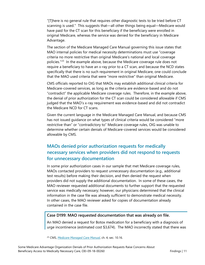"[T]here is no general rule that requires other diagnostic tests to be tried before CT scanning is used." This suggests that—all other things being equal—Medicare would have paid for the CT scan for this beneficiary if the beneficiary were enrolled in original Medicare, whereas the service was denied for the beneficiary in Medicare Advantage.

The section of the Medicare Managed Care Manual governing this issue states that MAO internal policies for medical necessity determinations must use "coverage criteria no more restrictive than original Medicare's national and local coverage policies.<sup>"[23](#page-14-0)</sup> In the example above, because the Medicare coverage rule does not require a beneficiary to have an x-ray prior to a CT scan, and because the NCD states specifically that there is no such requirement in original Medicare, one could conclude that the MAO used criteria that were "more restrictive" than original Medicare.

CMS officials reported to OIG that MAOs may establish additional clinical criteria for Medicare-covered services, as long as the criteria are evidence-based and do not "contradict" the applicable Medicare coverage rules. Therefore, in the example above, the denial of prior authorization for the CT scan could be considered allowable if CMS judged that the MAO's x-ray requirement was evidence-based and did not contradict the Medicare NCD for CT scans.

Given the current language in the Medicare Managed Care Manual, and because CMS has not issued guidance on what types of clinical criteria would be considered "more restrictive than" or "contradictory to" Medicare coverage rules, OIG was unable to determine whether certain denials of Medicare-covered services would be considered allowable by CMS.

# **MAOs denied prior authorization requests for medically necessary services when providers did not respond to requests for unnecessary documentation**

In some prior authorization cases in our sample that met Medicare coverage rules, MAOs contacted providers to request unnecessary documentation (e.g., additional test results) before making their decision, and then denied the request when providers did not supply the additional documentation. In some of these cases, the MAO reviewer requested additional documents to further support that the requested service was medically necessary; however, our physicians determined that the clinical information in the case file was already sufficient to demonstrate medical necessity. In other cases, the MAO reviewer asked for copies of documentation already contained in the case file.

#### **Case D199: MAO requested documentation that was already on file.**

An MAO denied a request for Botox medication for a beneficiary with a diagnosis of urge incontinence (estimated cost \$3,674). The MAO incorrectly stated that there was

<span id="page-14-0"></span><sup>23</sup> CMS, *[Medicare Managed Care Manual](https://www.cms.gov/Regulations-and-Guidance/Guidance/Manuals/Downloads/mc86c04.pdf)*, ch. 4, sec. 10.16.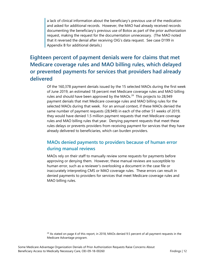a lack of clinical information about the beneficiary's previous use of the medication and asked for additional records. However, the MAO had already received records documenting the beneficiary's previous use of Botox as part of the prior authorization request, making the request for the documentation unnecessary. (The MAO noted that it reversed the denial after receiving OIG's data request. See case D199 in Appendix B for additional details.)

# **Eighteen percent of payment denials were for claims that met Medicare coverage rules and MAO billing rules, which delayed or prevented payments for services that providers had already delivered**

Of the 160,378 payment denials issued by the 15 selected MAOs during the first week of June 2019, an estimated 18 percent met Medicare coverage rules and MAO billing rules and should have been approved by the MAOs. $24$  This projects to 28,949 payment denials that met Medicare coverage rules and MAO billing rules for the selected MAOs during that week. For an annual context, if these MAOs denied the same number of payment requests (28,949) in each of the other 51 weeks of 2019, they would have denied 1.5 million payment requests that met Medicare coverage rules and MAO billing rules that year. Denying payment requests that meet these rules delays or prevents providers from receiving payment for services that they have already delivered to beneficiaries, which can burden providers.

## **MAOs denied payments to providers because of human error during manual reviews**

MAOs rely on their staff to manually review some requests for payments before approving or denying them. However, these manual reviews are susceptible to human error, such as a reviewer's overlooking a document in the case file or inaccurately interpreting CMS or MAO coverage rules. These errors can result in denied payments to providers for services that meet Medicare coverage rules and MAO billing rules.

<span id="page-15-0"></span><sup>24</sup> As stated on page 4 of this report, in 2018, MAOs denied 9.5 percent of all payment requests in the Medicare Advantage program.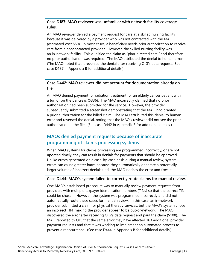#### **Case D187: MAO reviewer was unfamiliar with network facility coverage rules.**

An MAO reviewer denied a payment request for care at a skilled nursing facility because it was delivered by a provider who was not contracted with the MAO (estimated cost \$50). In most cases, a beneficiary needs prior authorization to receive care from a noncontracted provider. However, the skilled nursing facility was an in-network facility. This qualified the claim as "plan-directed care," and therefore no prior authorization was required. The MAO attributed the denial to human error. (The MAO noted that it reversed the denial after receiving OIG's data request. See case D187 in Appendix B for additional details.)

#### **Case D442: MAO reviewer did not account for documentation already on file.**

An MAO denied payment for radiation treatment for an elderly cancer patient with a tumor on the pancreas (\$336). The MAO incorrectly claimed that no prior authorization had been submitted for the service. However, the provider subsequently submitted a screenshot demonstrating that the MAO had granted a prior authorization for the billed claim. The MAO attributed this denial to human error and reversed the denial, noting that the MAO's reviewer did not see the prior authorization in the file. (See case D442 in Appendix B for additional details.)

# **MAOs denied payment requests because of inaccurate programming of claims processing systems**

When MAO systems for claims processing are programmed incorrectly, or are not updated timely, they can result in denials for payments that should be approved. Unlike errors generated on a case-by-case basis during a manual review, system errors can cause greater harm because they automatically generate a potentially larger volume of incorrect denials until the MAO notices the error and fixes it.

#### **Case D444: MAO's system failed to correctly route claims for manual review.**

One MAO's established procedure was to manually review payment requests from providers with multiple taxpayer identification numbers (TINs) so that the correct TIN could be chosen. However, the system was programmed incorrectly and did not automatically route these cases for manual review. In this case, an in-network provider submitted a claim for physical therapy services, but the MAO's system chose an incorrect TIN, making the provider appear to be out-of-network. The MAO discovered the error after receiving OIG's data request and paid the claim (\$108). The MAO reported to OIG that the same error may have affected 163 additional provider payment requests and that it was working to implement an automated process to prevent a reoccurrence. (See case D444 in Appendix B for additional details.)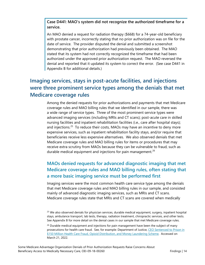**Case D441: MAO's system did not recognize the authorized timeframe for a service.**

An MAO denied a request for radiation therapy (\$668) for a 74-year-old beneficiary with prostate cancer, incorrectly stating that no prior authorization was on file for the date of service. The provider disputed the denial and submitted a screenshot demonstrating that prior authorization had previously been obtained. The MAO stated that its system had not correctly recognized the timeframe that had been authorized under the approved prior authorization request. The MAO reversed the denial and reported that it updated its system to correct the error. (See case D441 in Appendix B for additional details.)

# **Imaging services, stays in post-acute facilities, and injections were three prominent service types among the denials that met Medicare coverage rules**

Among the denied requests for prior authorizations and payments that met Medicare coverage rules and MAO billing rules that we identified in our sample, there was a wide range of service types. Three of the most prominent service types were advanced imaging services (including MRIs and CT scans); post-acute care in skilled nursing facilities and inpatient rehabilitation facilities (i.e., care after hospital stays); and injections.<sup>[25](#page-17-0)</sup> To reduce their costs, MAOs may have an incentive to deny more expensive services, such as inpatient rehabilitation facility stays, and/or require that beneficiaries receive less expensive alternatives. We also observed denials that met Medicare coverage rules and MAO billing rules for items or procedures that may receive extra scrutiny from MAOs because they can be vulnerable to fraud, such as durable medical equipment and injections for pain management.<sup>[26](#page-17-1)</sup>

# **MAOs denied requests for advanced diagnostic imaging that met Medicare coverage rules and MAO billing rules, often stating that a more basic imaging service must be performed first**

Imaging services were the most common health care service type among the denials that met Medicare coverage rules and MAO billing rules in our sample, and consisted mainly of advanced diagnostic imaging services, such as MRIs and CT scans. Medicare coverage rules state that MRIs and CT scans are covered when medically

<span id="page-17-0"></span><sup>&</sup>lt;sup>25</sup> We also observed denials for physician services, durable medical equipment, surgery, inpatient hospital stays, ambulance transport, lab tests, therapy, radiation treatment, chiropractic services, and other tests. See Appendix B for more detail on the denial cases in our sample that met Medicare coverage rules.

<span id="page-17-1"></span> $26$  Durable medical equipment and injections for pain management have been the subject of many prosecutions for health care fraud. See, for example: Department of Justice, [CEO Sentenced to Prison in](https://www.justice.gov/opa/pr/ceo-sentenced-prison-150-million-health-care-fraud-opioid-distribution-and-money-laundering)  [\\$150 Million Health Care Fraud, Opioid Distribution, and Money Laundering Scheme.](https://www.justice.gov/opa/pr/ceo-sentenced-prison-150-million-health-care-fraud-opioid-distribution-and-money-laundering) Accessed on March 21, 2022.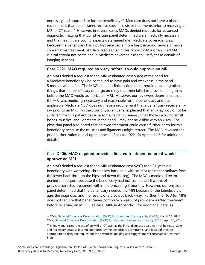necessary and appropriate for the beneficiary.<sup>[27](#page-18-0)</sup> Medicare does not have a blanket requirement that beneficiaries receive specific tests or treatments prior to receiving an MRI or CT scan.<sup>28</sup> However, in several cases MAOs denied requests for advanced diagnostic imaging that our physician panel determined were medically necessary, and that health care coding experts determined met Medicare coverage rules, because the beneficiary had not first received a more basic imaging service or more conservative treatment. As discussed earlier in this report, MAOs often cited MAO clinical criteria not contained in Medicare coverage rules to justify these denials of imaging services.

#### **Case D221: MAO required an x-ray before it would approve an MRI.**

An MAO denied a request for an MRI (estimated cost \$365) of the hand for a Medicare beneficiary who continued to have pain and weakness in the hand 5 months after a fall. The MAO cited its clinical criteria that required, among other things, that the beneficiary undergo an x-ray that then failed to provide a diagnosis before the MAO would authorize an MRI. However, our reviewers determined that the MRI was medically necessary and reasonable for the beneficiary and the applicable Medicare NCD does not have a requirement that a beneficiary receive an xray prior to an MRI. Further, our physician panel explained that an x-ray would not be sufficient for this patient because some hand injuries—such as those involving small bones, muscles, and ligaments in the hand—may not be visible with an x-ray. The physician panel also noted that delayed treatment could cause further harm for this beneficiary because the muscles and ligaments might retract. The MAO reversed the prior authorization denial upon appeal. (See case D221 in Appendix B for additional details.)

#### **Case D406: MAO required provider-directed treatment before it would approve an MRI.**

An MAO denied a request for an MRI (estimated cost \$297) for a 91-year-old beneficiary with worsening chronic low back pain with sciatica (pain that radiates from the lower back through the hips and down the leg). The MAO's medical director denied the request because the beneficiary had not completed 6 weeks of provider-directed treatment within the preceding 3 months. However, our physician panel determined that the beneficiary needed the MRI because of the beneficiary's age, the diagnosis, and the results of a previous back x-ray. Further, the NCD for MRIs does not require that beneficiaries complete 6 weeks of provider-directed treatment before receiving an MRI. (See case D406 in Appendix B for additional details.)

<span id="page-18-0"></span><sup>27</sup> CMS, [National Coverage Determination \(NCD\) for Computed Tomography \(220.1\),](https://www.cms.gov/medicare-coverage-database/details/ncd-details.aspx?NCDId=176) March 12, 2008. CMS, [National Coverage Determination \(NCD\) for Magnetic Resonance Imaging \(220.2\),](https://www.cms.gov/medicare-coverage-database/view/ncd.aspx?ncdid=177&ncdver=6&bc=AAAAAAAAAQAA&=) April 10, 2018.

<span id="page-18-1"></span> $28$  In individual cases, the use of an MRI or CT scan as the initial diagnostic test may not be reasonable and necessary because it is not supported by the beneficiary's symptoms (and it would then be appropriate to deny the request for the advanced imaging and suggest more conservative treatment first).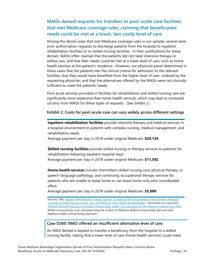## **MAOs denied requests for transfers to post-acute care facilities that met Medicare coverage rules, claiming that beneficiaries' needs could be met at a lower, less costly level of care**

Among the denial cases that met Medicare coverage rules in our sample, several were prior authorization requests to discharge patients from the hospital to inpatient rehabilitation facilities or to skilled nursing facilities. In their justifications for these denials, MAOs often claimed that the patients did not need intensive therapy or skilled care, and that their needs could be met at a lower level of care, such as home health services at the patient's residence. However, our physician panel determined in these cases that the patients met the clinical criteria for admission to the relevant facilities, that they would have benefited from the higher level of care ordered by the requesting physician, and that the alternatives offered by the MAOs were not clinically sufficient to meet the patients' needs.

Post-acute services provided in facilities for rehabilitation and skilled nursing care are significantly more expensive than home health services, which may lead to increased scrutiny from MAOs for these types of requests. (See Exhibit 2.)

#### **Exhibit 2: Costs for post-acute care can vary widely across different settings**

**Inpatient rehabilitation facilities** provide intensive therapy and medical services in a hospital environment to patients with complex nursing, medical management, and rehabilitative needs.

Average payment per stay in 2018 under original Medicare: **\$20,124**.

**Skilled nursing facilities** provide skilled nursing or therapy services to patients for rehabilitation following inpatient hospital stays. Average payment per stay in 2018 under original Medicare: **\$11,592**.

**Home health services** include intermittent skilled nursing care, physical therapy, or speech-language pathology, and continuing occupational therapy services for patients who are unable to leave home or can leave home only with considerable effort.

Average payment per stay in 2018 under original Medicare: **\$3,089**.

Sources: CMS, *[Inpatient Rehabilitation Therapy Services: Complying with Documentation Requirements,](https://www.cms.gov/outreach-and-education/medicare-learning-network-mln/mlnproducts/downloads/inpatient_rehab_fact_sheet_icn905643.pdf) [Medicare](https://www.medicare.gov/Pubs/pdf/10153-Medicare-Skilled-Nursing-Facility-Care.pdf)  [Coverage of Skilled Nursing Facility care,](https://www.medicare.gov/Pubs/pdf/10153-Medicare-Skilled-Nursing-Facility-Care.pdf)* and *[Medicare Home Health Benefit Booklet.](https://www.cms.gov/Outreach-and-Education/Medicare-Learning-Network-MLN/MLNProducts/Downloads/Medicare-Home-Health-Benefit-Text-Only.pdf)* Information on costs from: *[Medicare Payment Advisory Commission, A Data Book: Health Care Spending and the Medicare Program, July 2020.](http://medpac.gov/docs/default-source/data-book/july2020_databook_entirereport_sec.pdf?sfvrsn=0)*  Skilled nursing facility costs calculated using the number of Medicare skilled nursing facility stays and total Medicare skilled nursing facility payments.

#### **Case D260: MAO offered an insufficient alternative level of care.**

An MAO denied a request to transfer a beneficiary from the hospital to a skilled nursing facility, stating that a lower level of care (home health services) could meet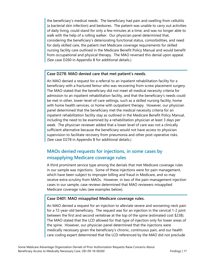the beneficiary's medical needs. The beneficiary had pain and swelling from cellulitis (a bacterial skin infection) and bedsores. The patient was unable to carry out activities of daily living, could stand for only a few minutes at a time, and was no longer able to walk with the help of a rolling walker. Our physician panel determined that, considering the beneficiary's deteriorating functional status, comorbidities, and need for daily skilled care, the patient met Medicare coverage requirements for skilled nursing facility care outlined in the Medicare Benefit Policy Manual and would benefit from occupational and physical therapy. The MAO reversed this denial upon appeal. (See case D260 in Appendix B for additional details.)

#### **Case D278: MAO denied care that met patient's needs.**

An MAO denied a request for a referral to an inpatient rehabilitation facility for a beneficiary with a fractured femur who was recovering from screw placement surgery. The MAO stated that the beneficiary did not meet all medical necessity criteria for admission to an inpatient rehabilitation facility, and that the beneficiary's needs could be met in other, lower-level-of-care settings, such as a skilled nursing facility, home with home health services, or home with outpatient therapy. However, our physician panel determined that the beneficiary met the medical necessity criteria for an inpatient rehabilitation facility stay as outlined in the Medicare Benefit Policy Manual, including the need to be examined by a rehabilitation physician at least 3 days per week. The physician reviewer added that a lower level of care was not a clinically sufficient alternative because the beneficiary would not have access to physician supervision to facilitate recovery from pneumonia and other post-operative risks. (See case D278 in Appendix B for additional details.)

## **MAOs denied requests for injections, in some cases by misapplying Medicare coverage rules**

A third prominent service type among the denials that met Medicare coverage rules in our sample was injections. Some of these injections were for pain management, which have been subject to improper billing and fraud in Medicare, and so may receive extra scrutiny from MAOs. However, in two of the pain-management injection cases in our sample, case reviews determined that MAO reviewers misapplied Medicare coverage rules (see examples below).

#### **Case D401: MAO misapplied Medicare coverage rules.**

An MAO denied a request for an injection to alleviate severe and worsening neck pain for a 72-year-old beneficiary. The request was for an injection in the cervical 1-2 joint between the first and second vertebrae at the top of the spine (estimated cost \$238). The MAO stated that the LCD allowed for that type of injection only for lower areas of the spine. However, our physician panel determined that the injections were medically necessary given the beneficiary's chronic, continuous pain, and our health care coding expert determined that the LCD referenced by the MAO did not preclude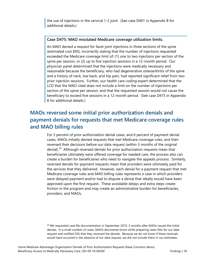the use of injections in the cervical 1-2 joint. (See case D401 in Appendix B for additional details.)

#### **Case D475: MAO misstated Medicare coverage utilization limits.**

An MAO denied a request for facet joint injections in three sections of the spine (estimated cost \$95), incorrectly stating that the number of injections requested exceeded the Medicare coverage limit of: (1) one to two injections per section of the spine per session, or (2) up to five injection sessions in a 12-month period. Our physician panel determined that the injections were medically necessary and reasonable because the beneficiary, who had degenerative osteoarthritis of the spine and a history of neck, low back, and hip pain, had reported significant relief from two prior injection sessions. Further, our health care coding expert determined that the LCD that the MAO cited does not include a limit on the number of injections per section of the spine per session, and that the requested session would not cause the beneficiary to exceed five sessions in a 12-month period. (See case D475 in Appendix B for additional details.)

# **MAOs reversed some initial prior authorization denials and payment denials for requests that met Medicare coverage rules and MAO billing rules**

For 3 percent of prior authorization denial cases, and 6 percent of payment denial cases, MAOs initially denied requests that met Medicare coverage rules, and then reversed their decisions before our data request (within 3 months of the original denial).<sup>29</sup> Although reversed denials for prior authorization requests mean that beneficiaries ultimately were offered coverage for needed care, the process also can create a burden for beneficiaries who need to navigate the appeals process. Similarly, reversed denials for payment requests mean that providers were ultimately paid for the services that they delivered. However, each denial for a payment request that met Medicare coverage rules and MAO billing rules represents a case in which providers were delayed payment and/or had to dispute a denial that ideally would have been approved upon the first request. These avoidable delays and extra steps create friction in the program and may create an administrative burden for beneficiaries, providers, and MAOs.

<span id="page-21-0"></span> $29$  We requested case file documentation in September 2019, 3 months after MAOs issued the initial denials. In a small number of cases, MAOs discovered errors while preparing cases files for our data request and notified OIG that they reversed the denials. Because we do not know if these reversals would have occurred in the absence of our data request, we did not include them in our estimates.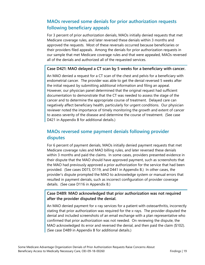## **MAOs reversed some denials for prior authorization requests following beneficiary appeals**

For 3 percent of prior authorization denials, MAOs initially denied requests that met Medicare coverage rules, and later reversed these denials within 3 months and approved the requests. Most of these reversals occurred because beneficiaries or their providers filed appeals. Among the denials for prior authorization requests in our sample that met Medicare coverage rules and that were appealed, MAOs reversed all of the denials and authorized all of the requested services.

#### **Case D421: MAO delayed a CT scan by 5 weeks for a beneficiary with cancer.**

An MAO denied a request for a CT scan of the chest and pelvis for a beneficiary with endometrial cancer. The provider was able to get the denial reversed 5 weeks after the initial request by submitting additional information and filing an appeal. However, our physician panel determined that the original request had sufficient documentation to demonstrate that the CT was needed to assess the stage of the cancer and to determine the appropriate course of treatment. Delayed care can negatively affect beneficiary health, particularly for urgent conditions. Our physician reviewer noted the importance of timely monitoring the growth and extent of cancer to assess severity of the disease and determine the course of treatment. (See case D421 in Appendix B for additional details.)

### **MAOs reversed some payment denials following provider disputes**

For 6 percent of payment denials, MAOs initially denied payment requests that met Medicare coverage rules and MAO billing rules, and later reversed these denials within 3 months and paid the claims. In some cases, providers presented evidence in their dispute that the MAO should have approved payment, such as screenshots that the MAO had previously approved a prior authorization for the service that had been provided. (See cases D073, D119, and D441 in Appendix B.) In other cases, the provider's dispute prompted the MAO to acknowledge system or manual errors that resulted in payment denials, such as incorrect configuration of provider coverage details. (See case D116 in Appendix B.)

**Case D489: MAO acknowledged that prior authorization was not required after the provider disputed the denial.**

An MAO denied payment for x-ray services for a patient with osteoarthritis, incorrectly stating that prior authorization was required for the x-rays. The provider disputed the denial and included screenshots of an email exchange with a plan representative who confirmed that prior authorization was not needed. On reviewing the dispute, the MAO acknowledged its error and reversed the denial, and then paid the claim (\$102). (See case D489 in Appendix B for additional details.)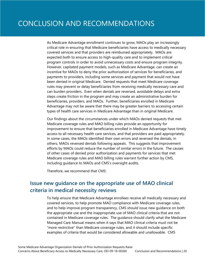As Medicare Advantage enrollment continues to grow, MAOs play an increasingly critical role in ensuring that Medicare beneficiaries have access to medically necessary covered services and that providers are reimbursed appropriately. MAOs are expected both to ensure access to high-quality care and to implement critical program controls in order to avoid unnecessary costs and ensure program integrity. However, capitated payment models, such as Medicare Advantage, can create an incentive for MAOs to deny the prior authorization of services for beneficiaries, and payments to providers, including some services and payment that would not have been denied in original Medicare. Denied requests that meet Medicare coverage rules may prevent or delay beneficiaries from receiving medically necessary care and can burden providers. Even when denials are reversed, avoidable delays and extra steps create friction in the program and may create an administrative burden for beneficiaries, providers, and MAOs. Further, beneficiaries enrolled in Medicare Advantage may not be aware that there may be greater barriers to accessing certain types of health care services in Medicare Advantage than in original Medicare.

Our findings about the circumstances under which MAOs denied requests that met Medicare coverage rules and MAO billing rules provide an opportunity for improvement to ensure that beneficiaries enrolled in Medicare Advantage have timely access to all necessary health care services, and that providers are paid appropriately. In some cases, the MAOs identified their own errors and reversed the denials, in others, MAOs reversed denials following appeals. This suggests that improvement efforts by MAOs could reduce the number of similar errors in the future. The causes of other cases of denied prior authorization and payments for services that met Medicare coverage rules and MAO billing rules warrant further action by CMS, including guidance to MAOs and CMS's oversight audits.

Therefore, we recommend that CMS:

# **Issue new guidance on the appropriate use of MAO clinical criteria in medical necessity reviews**

To help ensure that Medicare Advantage enrollees receive all medically necessary and covered services, to help promote MAO compliance with Medicare coverage rules, and to help improve program transparency, CMS should issue new guidance on both the appropriate use and the inappropriate use of MAO clinical criteria that are not contained in Medicare coverage rules. The guidance should clarify what the Medicare Managed Care Manual means when it says that MAO clinical criteria must not be "more restrictive" than Medicare coverage rules, and it should include specific examples of criteria that would be considered allowable and unallowable. CMS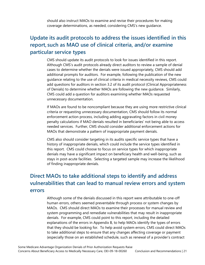should also instruct MAOs to examine and revise their procedures for making coverage determinations, as needed, considering CMS's new guidance.

# **Update its audit protocols to address the issues identified in this report, such as MAO use of clinical criteria, and/or examine particular service types**

CMS should update its audit protocols to look for issues identified in this report. Although CMS's audit protocols already direct auditors to review a sample of denial cases to determine whether the denials were issued appropriately, CMS should add additional prompts for auditors. For example, following the publication of the new guidance relating to the use of clinical criteria in medical necessity reviews, CMS could add questions for auditors in section 3.2 of its audit protocol (Clinical Appropriateness of Denials) to determine whether MAOs are following the new guidance. Similarly, CMS could add a question for auditors examining whether MAOs requested unnecessary documentation.

If MAOs are found to be noncompliant because they are using more restrictive clinical criteria or requesting unnecessary documentation, CMS should follow its normal enforcement action process, including adding aggravating factors in civil money penalty calculations if MAO denials resulted in beneficiaries' not being able to access needed services. Further, CMS should consider additional enforcement actions for MAOs that demonstrate a pattern of inappropriate payment denials.

CMS also should consider targeting in its audits specific service types that have a history of inappropriate denials, which could include the service types identified in this report. CMS could choose to focus on service types for which inappropriate denials may have a significant impact on beneficiary health and well-being, such as stays in post-acute facilities. Selecting a targeted sample may increase the likelihood of finding inappropriate denials.

# **Direct MAOs to take additional steps to identify and address vulnerabilities that can lead to manual review errors and system errors**

Although some of the denials discussed in this report were attributable to one-off human errors, others seemed preventable through process or system changes by MAOs. CMS should direct MAOs to examine their processes for manual review and system programming and remediate vulnerabilities that may result in inappropriate denials. For example, CMS could point to this report, including the detailed explanations of the errors in Appendix B, to help MAOs identify the types of errors that they should be looking for. To help avoid system errors, CMS could direct MAOs to take additional steps to ensure that any changes affecting coverage or payment (especially those on an established schedule, such as renewal of a provider's contract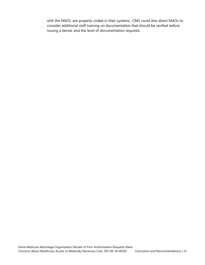with the MAO), are properly coded in their systems. CMS could also direct MAOs to consider additional staff training on documentation that should be verified before issuing a denial, and the level of documentation required.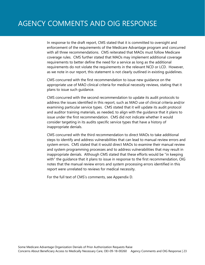In response to the draft report, CMS stated that it is committed to oversight and enforcement of the requirements of the Medicare Advantage program and concurred with all three recommendations. CMS reiterated that MAOs must follow Medicare coverage rules. CMS further stated that MAOs may implement additional coverage requirements to better define the need for a service as long as the additional requirements do not violate the requirements in the relevant NCD or LCD. However, as we note in our report, this statement is not clearly outlined in existing guidelines.

CMS concurred with the first recommendation to issue new guidance on the appropriate use of MAO clinical criteria for medical necessity reviews, stating that it plans to issue such guidance.

CMS concurred with the second recommendation to update its audit protocols to address the issues identified in this report, such as MAO use of clinical criteria and/or examining particular service types. CMS stated that it will update its audit protocol and auditor training materials, as needed, to align with the guidance that it plans to issue under the first recommendation. CMS did not indicate whether it would consider targeting in its audits specific service types that have a history of inappropriate denials.

CMS concurred with the third recommendation to direct MAOs to take additional steps to identify and address vulnerabilities that can lead to manual review errors and system errors. CMS stated that it would direct MAOs to examine their manual review and system programming processes and to address vulnerabilities that may result in inappropriate denials. Although CMS stated that these efforts would be "in keeping with" the guidance that it plans to issue in response to the first recommendation, OIG notes that the manual review errors and system processing errors identified in this report were unrelated to reviews for medical necessity.

For the full text of CMS's comments, see Appendix D.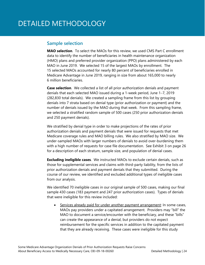#### **Sample selection**

**MAO selection**. To select the MAOs for this review, we used CMS Part C enrollment data to identify the number of beneficiaries in health maintenance organization (HMO) plans and preferred provider organization (PPO) plans administered by each MAO in June 2019. We selected 15 of the largest MAOs by enrollment. The 15 selected MAOs accounted for nearly 80 percent of beneficiaries enrolled in Medicare Advantage in June 2019, ranging in size from about 165,000 to nearly 6 million beneficiaries.

**Case selection**. We collected a list of all prior authorization denials and payment denials that each selected MAO issued during a 1-week period, June 1−7, 2019 (282,830 total denials). We created a sampling frame from this list by grouping denials into 7 strata based on denial type (prior authorization or payment) and the number of denials issued by the MAO during that week. From this sampling frame, we selected a stratified random sample of 500 cases (250 prior authorization denials and 250 payment denials).

We stratified by denial type in order to make projections of the rates of prior authorization denials and payment denials that were issued for requests that met Medicare coverage rules and MAO billing rules. We also stratified by MAO size. We under-sampled MAOs with larger numbers of denials to avoid over-burdening them with a high number of requests for case file documentation. See Exhibit 3 on page 26 for a description of each stratum, sample size, and population of denial cases.

**Excluding ineligible cases**. We instructed MAOs to exclude certain denials, such as those for supplemental services and claims with third-party liability, from the lists of prior authorization denials and payment denials that they submitted. During the course of our review, we identified and excluded additional types of ineligible cases from our analysis.

We identified 70 ineligible cases in our original sample of 500 cases, making our final sample 430 cases (183 payment and 247 prior authorization cases). Types of denials that were ineligible for this review included:

• Services already paid for under another payment arrangement: In some cases, MAOs pay providers under a capitated arrangement. Providers may "bill" the MAO to document a service/encounter with the beneficiary, and these "bills" can create the appearance of a denial, but providers do not expect reimbursement for the specific services in addition to the capitated payment that they are already receiving. These cases were ineligible for this study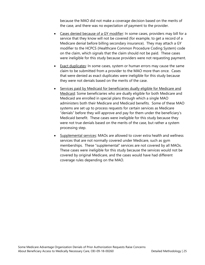because the MAO did not make a coverage decision based on the merits of the case, and there was no expectation of payment to the provider.

- Cases denied because of a GY modifier: In some cases, providers may bill for a service that they know will not be covered (for example, to get a record of a Medicare denial before billing secondary insurance). They may attach a GY modifier to the HCPCS (Healthcare Common Procedure Coding System) code on the claim, which signals that the claim should not be paid. These cases were ineligible for this study because providers were not requesting payment.
- Exact duplicates: In some cases, system or human errors may cause the same claim to be submitted from a provider to the MAO more than once. Cases that were denied as exact duplicates were ineligible for this study because they were not denials based on the merits of the case.
- Services paid by Medicaid for beneficiaries dually eligible for Medicare and Medicaid: Some beneficiaries who are dually eligible for both Medicare and Medicaid are enrolled in special plans through which a single MAO administers both their Medicare and Medicaid benefits. Some of these MAO systems are set up to process requests for certain services as Medicare "denials" before they will approve and pay for them under the beneficiary's Medicaid benefit. These cases were ineligible for this study because they were not true denials based on the merits of the case, but rather a system processing step.
- Supplemental services: MAOs are allowed to cover extra health and wellness services that are not normally covered under Medicare, such as gym memberships. These "supplemental" services are not covered by all MAOs. These cases were ineligible for this study because the services would not be covered by original Medicare, and the cases would have had different coverage rules depending on the MAO.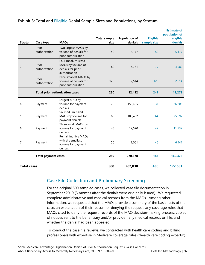|                    |                            |                                                                              | <b>Total sample</b> | <b>Population of</b> | <b>Eligible</b> | <b>Estimate of</b><br>population of<br>eligible |
|--------------------|----------------------------|------------------------------------------------------------------------------|---------------------|----------------------|-----------------|-------------------------------------------------|
| <b>Stratum</b>     | Case type                  | <b>MAOs</b>                                                                  | size                | denials              | sample size     | denials                                         |
| $\mathbf{1}$       | Prior<br>authorization     | Two largest MAOs by<br>volume of denials for<br>prior authorization          | 50                  | 5,177                | 50              | 5,177                                           |
| $\overline{c}$     | Prior<br>authorization     | Four medium-sized<br>MAOs by volume of<br>denials for prior<br>authorization | 80                  | 4,761                | 77              | 4,582                                           |
| 3                  | Prior<br>authorization     | Nine smallest MAOs by<br>volume of denials for<br>prior authorization        | 120                 | 2,514                | 120             | 2,514                                           |
|                    |                            | <b>Total prior authorization cases</b>                                       | 250                 | 12,452               | 247             | 12,273                                          |
| 4                  | Payment                    | Largest MAO by<br>volume for payment<br>denials                              | 70                  | 150,405              | 31              | 66,608                                          |
| 5                  | Payment                    | Six medium-sized<br>MAOs by volume for<br>payment denials                    | 85                  | 100,402              | 64              | 75,597                                          |
| 6                  | Payment                    | Three small MAOs by<br>volume for payment<br>denials                         | 45                  | 12,570               | 42              | 11,732                                          |
| 7                  | Payment                    | Remaining five MAOs<br>with the smallest<br>volume for payment<br>denials    | 50                  | 7,001                | 46              | 6,441                                           |
|                    | <b>Total payment cases</b> |                                                                              | 250                 | 270,378              | 183             | 160,378                                         |
| <b>Total cases</b> |                            |                                                                              | 500                 | 282,830              | 430             | 172,651                                         |

#### **Exhibit 3: Total and Eligible Denial Sample Sizes and Populations, by Stratum**

### **Case File Collection and Preliminary Screening**

For the original 500 sampled cases, we collected case file documentation in September 2019 (3 months after the denials were originally issued). We requested complete administrative and medical records from the MAOs. Among other information, we requested that the MAOs provide a summary of the basic facts of the case, an explanation of their reason for denying the request, any coverage rules that MAOs cited to deny the request, records of the MAO decision-making process, copies of notices sent to the beneficiary and/or provider, any medical records on file, and whether the denial had been appealed.

To conduct the case file reviews, we contracted with health care coding and billing professionals with expertise in Medicare coverage rules ("health care coding experts")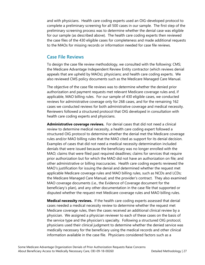and with physicians. Health care coding experts used an OIG-developed protocol to complete a preliminary screening for all 500 cases in our sample. The first step of the preliminary screening process was to determine whether the denial case was eligible for our sample (as described above). The health care coding experts then reviewed the case files of the 430 eligible cases for completeness and made additional requests to the MAOs for missing records or information needed for case file reviews.

#### **Case File Reviews**

To design the case file review methodology, we consulted with the following: CMS; the Medicare Advantage Independent Review Entity contractor (which reviews denial appeals that are upheld by MAOs); physicians; and health care coding experts. We also reviewed CMS policy documents such as the Medicare Managed Care Manual.

The objective of the case file reviews was to determine whether the denied prior authorization and payment requests met relevant Medicare coverage rules and, if applicable, MAO billing rules. For our sample of 430 eligible cases, we conducted reviews for administrative coverage only for 268 cases, and for the remaining 162 cases we conducted reviews for both administrative coverage and medical necessity. Reviewers followed a structured protocol that OIG developed in consultation with health care coding experts and physicians.

**Administrative coverage reviews.** For denial cases that did not need a clinical review to determine medical necessity, a health care coding expert followed a structured OIG protocol to determine whether the denial met the Medicare coverage rules and/or MAO billing rules that the MAO cited as support for its denial decision. Examples of cases that did not need a medical necessity determination included denials that were issued because the beneficiary was no longer enrolled with the MAO; claims that were filed past required deadlines; claims for services that require prior authorization but for which the MAO did not have an authorization on file; and other administrative or billing inaccuracies. Health care coding experts reviewed the MAO's justification for issuing the denial and determined whether the request met applicable Medicare coverage rules and MAO billing rules, such as NCDs and LCDs; the Medicare Managed Care Manual; and the provider's contract. They also examined MAO coverage documents (i.e., the Evidence of Coverage document for the beneficiary's plan), and any other documentation in the case file that supported or disputed whether the request met Medicare coverage rules and MAO billing rules.

**Medical necessity reviews.** If the health care coding experts assessed that denial cases needed a medical necessity review to determine whether the request met Medicare coverage rules, then the cases received an additional clinical review by a physician. We assigned a physician reviewer to each of these cases on the basis of the service type and the physician's specialty. Following a structured OIG protocol, physicians used their clinical judgment to determine whether the denied service was medically necessary for the beneficiary using the medical records and other clinical information available in the case file. Physicians considered factors such as a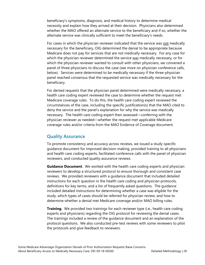beneficiary's symptoms, diagnosis, and medical history to determine medical necessity and explain how they arrived at their decision. Physicians also determined whether the MAO offered an alternate service to the beneficiary and if so, whether the alternate service was clinically sufficient to meet the beneficiary's needs.

For cases in which the physician reviewer indicated that the service was not medically necessary for the beneficiary, OIG determined the denial to be appropriate because Medicare does not pay for services that are not medically necessary. For any case for which the physician reviewer determined the service was medically necessary, or for which the physician reviewer wanted to consult with other physicians, we convened a panel of three physicians to discuss the case (see more on physician conference calls, below). Services were determined to be medically necessary if the three-physician panel reached consensus that the requested service was medically necessary for the beneficiary.

For denied requests that the physician panel determined were medically necessary, a health care coding expert reviewed the case to determine whether the request met Medicare coverage rules. To do this, the health care coding expert reviewed the circumstances of the case, including the specific justification(s) that the MAO cited to deny the service and the panel's explanation for why the service was medically necessary. The health care coding expert then assessed—conferring with the physician reviewer as needed—whether the request met applicable Medicare coverage rules and/or criteria from the MAO Evidence of Coverage document.

### **Quality Assurance**

To promote consistency and accuracy across reviews, we issued a study-specific guidance document for improved decision-making, provided training to all physicians and health care coding experts, facilitated conference calls with the panel of physician reviewers, and conducted quality assurance reviews.

**Guidance Document**. We worked with the health care coding experts and physician reviewers to develop a structured protocol to ensure thorough and consistent case reviews. We provided reviewers with a guidance document that included detailed instructions for each question in the health care coding and physician protocols, definitions for key terms, and a list of frequently asked questions. The guidance included detailed instructions for determining whether a case was eligible for the study, which types of cases should be referred for physician review, and how to determine whether a denial met Medicare coverage and/or MAO billing rules.

**Training**. We provided two trainings for each reviewer type (i.e., health care coding experts and physicians) regarding the OIG protocol for reviewing the denial cases. The trainings included a review of the guidance document and an explanation of the protocol questions. We also conducted pre-test reviews with some reviewers to pilot the protocols and give feedback to reviewers.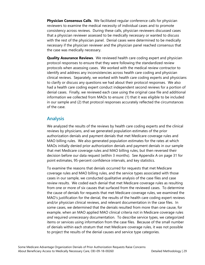**Physician Consensus Calls**. We facilitated regular conference calls for physician reviewers to examine the medical necessity of individual cases and to promote consistency across reviews. During these calls, physician reviewers discussed cases that a physician reviewer assessed to be medically necessary or wanted to discuss with the rest of the physician panel. Denial cases were determined to be medically necessary if the physician reviewer and the physician panel reached consensus that the case was medically necessary.

**Quality Assurance Reviews**. We reviewed health care coding expert and physician protocol responses to ensure that they were following the standardized review protocols when assessing cases. We worked with the medical review contractor to identify and address any inconsistencies across health care coding and physician clinical reviews. Separately, we worked with health care coding experts and physicians to clarify or discuss any questions we had about their protocol responses. We also had a health care coding expert conduct independent second reviews for a portion of denial cases. Finally, we reviewed each case using the original case file and additional information we collected from MAOs to ensure: (1) that it was eligible to be included in our sample and (2) that protocol responses accurately reflected the circumstances of the case.

### **Analysis**

We analyzed the results of the reviews by health care coding experts and the clinical reviews by physicians, and we generated population estimates of the prior authorization denials and payment denials that met Medicare coverage rules and MAO billing rules. We also generated population estimates for the rates at which MAOs initially denied prior authorization denials and payment denials in our sample that met Medicare coverage rules and MAO billing rules, but then reversed their decision before our data request (within 3 months). See Appendix A on page 31 for point estimates, 95-percent confidence intervals, and key statistics.

To examine the reasons that denials occurred for requests that met Medicare coverage rules and MAO billing rules, and the service types associated with those cases in our sample, we conducted qualitative analysis of the case files and case review results. We coded each denial that met Medicare coverage rules as resulting from one or more of six causes that surfaced from the reviewed cases. To determine the cause of denials for requests that met Medicare coverage rules, we examined the MAO's justification for the denial, the results of the health care coding expert reviews and/or physician clinical reviews, and relevant documentation in the case files. In some cases, we determined that the denials resulted from more than one cause, for example, when an MAO applied MAO clinical criteria not in Medicare coverage rules *and* required unnecessary documentation. To describe service types, we categorized items or services using information from the case files. Because of the small number of denials within each stratum that met Medicare coverage rules, it was not possible to project the results of the denial causes and service type categories.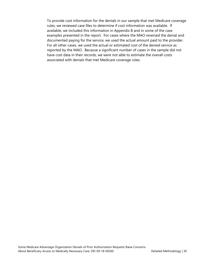To provide cost information for the denials in our sample that met Medicare coverage rules, we reviewed case files to determine if cost information was available. If available, we included this information in Appendix B and in some of the case examples presented in the report. For cases where the MAO reversed the denial and documented paying for the service, we used the actual amount paid to the provider. For all other cases, we used the actual or estimated cost of the denied service as reported by the MAO. Because a significant number of cases in the sample did not have cost data in their records, we were not able to estimate the overall costs associated with denials that met Medicare coverage rules.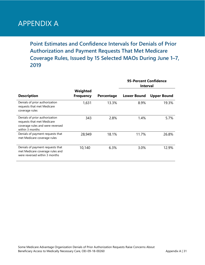# APPENDIX A

**Point Estimates and Confidence Intervals for Denials of Prior Authorization and Payment Requests That Met Medicare Coverage Rules, Issued by 15 Selected MAOs During June 1–7, 2019**

|                                                                                                                     |                              |            | 95-Percent Confidence<br><b>Interval</b> |                    |
|---------------------------------------------------------------------------------------------------------------------|------------------------------|------------|------------------------------------------|--------------------|
| <b>Description</b>                                                                                                  | Weighted<br><b>Frequency</b> | Percentage | <b>Lower Bound</b>                       | <b>Upper Bound</b> |
| Denials of prior authorization<br>requests that met Medicare<br>coverage rules                                      | 1,631                        | 13.3%      | 8.9%                                     | 19.3%              |
| Denials of prior authorization<br>requests that met Medicare<br>coverage rules and were reversed<br>within 3 months | 343                          | 2.8%       | 1.4%                                     | 5.7%               |
| Denials of payment requests that<br>met Medicare coverage rules                                                     | 28,949                       | 18.1%      | 11.7%                                    | 26.8%              |
| Denials of payment requests that<br>met Medicare coverage rules and<br>were reversed within 3 months                | 10,140                       | 6.3%       | 3.0%                                     | 12.9%              |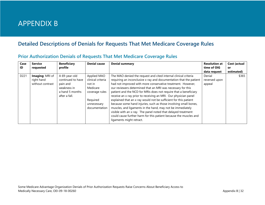# APPENDIX B

# **Detailed Descriptions of Denials for Requests That Met Medicare Coverage Rules**

| Case<br>ID       | <b>Service</b><br>requested                       | <b>Beneficiary</b><br>profile                                                                     | <b>Denial cause</b>                                                                                                  | <b>Denial summary</b>                                                                                                                                                                                                                                                                                                                                                                                                                                                                                                                                                                                                                                                                                                                                                              | <b>Resolution at</b><br>time of OIG<br>data request | Cost (actual<br>or<br>estimated) |
|------------------|---------------------------------------------------|---------------------------------------------------------------------------------------------------|----------------------------------------------------------------------------------------------------------------------|------------------------------------------------------------------------------------------------------------------------------------------------------------------------------------------------------------------------------------------------------------------------------------------------------------------------------------------------------------------------------------------------------------------------------------------------------------------------------------------------------------------------------------------------------------------------------------------------------------------------------------------------------------------------------------------------------------------------------------------------------------------------------------|-----------------------------------------------------|----------------------------------|
| D <sub>221</sub> | Imaging: MRI of<br>right hand<br>without contrast | A 69-year-old<br>continued to have<br>pain and<br>weakness in<br>a hand 5 months<br>after a fall. | Applied MAO<br>clinical criteria<br>not in<br>Medicare<br>coverage rules<br>Required<br>unnecessary<br>documentation | The MAO denied the request and cited internal clinical criteria<br>requiring an inconclusive x-ray and documentation that the patient<br>had not improved with more conservative treatment. However,<br>our reviewers determined that an MRI was necessary for this<br>patient and the NCD for MRIs does not require that a beneficiary<br>receive an x-ray prior to receiving an MRI. Our physician panel<br>explained that an x-ray would not be sufficient for this patient<br>because some hand injuries, such as those involving small bones,<br>muscles, and ligaments in the hand, may not be immediately<br>visible with an x-ray. The panel noted that delayed treatment<br>could cause further harm for this patient because the muscles and<br>ligaments might retract. | Denial<br>reversed upon<br>appeal                   | \$365                            |

### **Prior Authorization Denials of Requests That Met Medicare Coverage Rules**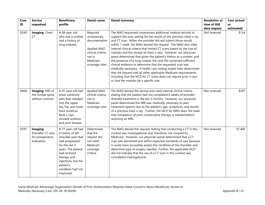| Case | <b>Service</b>                                                 | <b>Beneficiary</b>                                                                                                                                                                                                          | <b>Denial cause</b>                                                                                                  | <b>Denial summary</b>                                                                                                                                                                                                                                                                                                                                                                                                                                                                                                                                                                                                                                                                                                                                                                                                                                                            | <b>Resolution at</b> | Cost (actual |
|------|----------------------------------------------------------------|-----------------------------------------------------------------------------------------------------------------------------------------------------------------------------------------------------------------------------|----------------------------------------------------------------------------------------------------------------------|----------------------------------------------------------------------------------------------------------------------------------------------------------------------------------------------------------------------------------------------------------------------------------------------------------------------------------------------------------------------------------------------------------------------------------------------------------------------------------------------------------------------------------------------------------------------------------------------------------------------------------------------------------------------------------------------------------------------------------------------------------------------------------------------------------------------------------------------------------------------------------|----------------------|--------------|
| ID   | requested                                                      | profile                                                                                                                                                                                                                     |                                                                                                                      |                                                                                                                                                                                                                                                                                                                                                                                                                                                                                                                                                                                                                                                                                                                                                                                                                                                                                  | time of OIG          | or           |
|      |                                                                |                                                                                                                                                                                                                             |                                                                                                                      |                                                                                                                                                                                                                                                                                                                                                                                                                                                                                                                                                                                                                                                                                                                                                                                                                                                                                  | data request         | estimated)   |
| D249 | Imaging: Chest<br>СT                                           | A 68-year-old<br>who was a smoker<br>had a history of<br>lung nodules.                                                                                                                                                      | Required<br>unnecessary<br>documentation<br>Applied MAO<br>clinical criteria<br>not in<br>Medicare<br>coverage rules | The MAO requested unnecessary additional medical records to<br>support the scan, asking for the results of the previous chest x-ray<br>and CT scan. When the provider did not submit those results<br>within 1 week, the MAO denied the request. The MAO also cited<br>internal clinical criteria that limited CT scans based on the size of<br>nodules and the receipt of chest x-rays. However, our physician<br>panel determined that given the patient's history as a smoker, and<br>the presence of a lung nodule, the case file contained sufficient<br>clinical evidence to determine that the requested scan was<br>medically necessary. A health care coding expert then determined<br>that the request met all other applicable Medicare requirements,<br>including that the NCD for CT scans does not require prior x-rays<br>or that the nodules be a specific size. | Not reversed         | \$154        |
| D406 | Imaging: MRI of<br>the lumbar spine<br>without contrast        | A 91-year-old had<br>lower extremity<br>pain that radiated<br>into the upper<br>leg, hip, and lower<br>back (sciatica).<br>Back x-rays<br>showed scoliosis<br>and joint disease.                                            | Applied MAO<br>clinical criteria<br>not in<br>Medicare<br>coverage rules                                             | The MAO denied the service and cited internal clinical criteria<br>stating that the patient had not completed 6 weeks of provider-<br>directed treatment in the last 3 months. However, our physician<br>panel determined the MRI was medically necessary to plan<br>treatment options due to the patient's age, symptoms, and results<br>of a previous back x-ray. Further, the NCD for MRIs does not state<br>that completion of prior conservative therapy is needed before<br>receiving an MRI.                                                                                                                                                                                                                                                                                                                                                                              | Not reversed         | \$297        |
| D397 | Imaging:<br>Shoulder CT scan<br>for preoperative<br>evaluation | A 77-year-old had<br>a history of left<br>shoulder pain that<br>had progressed<br>for the last 3<br>years. The patient<br>had received<br>therapy and<br>injections, but the<br>patient's<br>condition had not<br>improved. | Determined<br>that the<br>request did<br>not meet<br>Medicare<br>coverage<br>criteria                                | The MAO denied the request, stating that conducting a CT in this<br>context was investigational and, therefore, not covered by<br>Medicare. However, our physician panel determined that a CT<br>scan was warranted and within expected standards of care because<br>it could more accurately assess the condition of the shoulder and<br>determine type of surgery needed. Further, the applicable NCD<br>did not indicate that the use of a CT scan in this context was<br>considered investigational.                                                                                                                                                                                                                                                                                                                                                                         | Not reversed         | \$1,400      |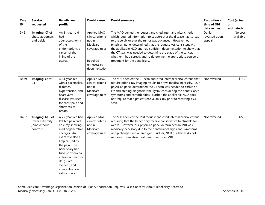| Case | <b>Service</b>                                                  | <b>Beneficiary</b>                                                                                                                                                                                                                                                                    | <b>Denial cause</b>                                                                                                  | <b>Denial summary</b>                                                                                                                                                                                                                                                                                                                                                                                                                                                                                            | <b>Resolution at</b>              | Cost (actual         |
|------|-----------------------------------------------------------------|---------------------------------------------------------------------------------------------------------------------------------------------------------------------------------------------------------------------------------------------------------------------------------------|----------------------------------------------------------------------------------------------------------------------|------------------------------------------------------------------------------------------------------------------------------------------------------------------------------------------------------------------------------------------------------------------------------------------------------------------------------------------------------------------------------------------------------------------------------------------------------------------------------------------------------------------|-----------------------------------|----------------------|
| ID   | requested                                                       | profile                                                                                                                                                                                                                                                                               |                                                                                                                      |                                                                                                                                                                                                                                                                                                                                                                                                                                                                                                                  | time of OIG                       | or                   |
|      |                                                                 |                                                                                                                                                                                                                                                                                       |                                                                                                                      |                                                                                                                                                                                                                                                                                                                                                                                                                                                                                                                  | data request                      | estimated)           |
| D421 | Imaging: CT of<br>chest, abdomen,<br>and pelvis                 | An 81-year-old<br>had<br>adenocarcinoma<br>of the<br>endometrium, a<br>cancer of the<br>lining of the<br>uterus.                                                                                                                                                                      | Applied MAO<br>clinical criteria<br>not in<br>Medicare<br>coverage rules<br>Required<br>unnecessary<br>documentation | The MAO denied the request and cited internal clinical criteria<br>which required information to support that the disease had spread<br>to the cervix or that the tumor was advanced. However, our<br>physician panel determined that the request was consistent with<br>the applicable NCD and had sufficient documentation to show that<br>the CT scan was needed to determine the stage of the cancer,<br>whether it had spread, and to determine the appropriate course of<br>treatment for the beneficiary. | Denial<br>reversed upon<br>appeal | No cost<br>available |
| D479 | Imaging: Chest<br>CT                                            | A 64-year-old<br>with a pacemaker,<br>diabetes,<br>hypertension, and<br>heart valve<br>disease was seen<br>for chest pain and<br>shortness of<br>breath.                                                                                                                              | Applied MAO<br>clinical criteria<br>not in<br>Medicare<br>coverage rules                                             | The MAO denied the CT scan and cited internal clinical criteria that<br>require prior x-ray imaging results to prove medical necessity. Our<br>physician panel determined the CT scan was needed to exclude a<br>life-threatening diagnosis (aneurysm) considering the beneficiary's<br>symptoms and comorbidities. Further, the applicable NCD does<br>not require that a patient receive an x-ray prior to receiving a CT<br>scan.                                                                             | Not reversed                      | \$150                |
| D427 | Imaging: MRI of<br>lower extremity<br>joint without<br>contrast | A 75-year-old had<br>left hip pain and<br>an x-ray showing<br>mild degenerative<br>changes. An<br>exam revealed a<br>limp caused by<br>the pain. The<br>beneficiary had<br>tried nonsteroidal<br>anti-inflammatory<br>drugs, oral<br>steroids, and<br>immobilization<br>with a brace. | Applied MAO<br>clinical criteria<br>not in<br>Medicare<br>coverage rules                                             | The MAO denied the MRI request and cited internal clinical criteria<br>requiring that the beneficiary receive conservative treatments for 6<br>weeks. However, our physician panel determined an MRI was<br>medically necessary due to the beneficiary's signs and symptoms<br>of hip changes and altered gait. Further, NCD guidelines do not<br>require conservative treatment prior to an MRI.                                                                                                                | Not reversed                      | \$275                |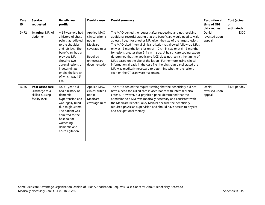| Case<br>ID       | <b>Service</b><br>requested                                             | <b>Beneficiary</b><br>profile                                                                                                                                                                                                                      | <b>Denial cause</b>                                                                                                  | <b>Denial summary</b>                                                                                                                                                                                                                                                                                                                                                                                                                                                                                                                                                                                                                                                                                                                                          | <b>Resolution at</b><br>time of OIG | Cost (actual<br><b>or</b> |
|------------------|-------------------------------------------------------------------------|----------------------------------------------------------------------------------------------------------------------------------------------------------------------------------------------------------------------------------------------------|----------------------------------------------------------------------------------------------------------------------|----------------------------------------------------------------------------------------------------------------------------------------------------------------------------------------------------------------------------------------------------------------------------------------------------------------------------------------------------------------------------------------------------------------------------------------------------------------------------------------------------------------------------------------------------------------------------------------------------------------------------------------------------------------------------------------------------------------------------------------------------------------|-------------------------------------|---------------------------|
|                  |                                                                         |                                                                                                                                                                                                                                                    |                                                                                                                      |                                                                                                                                                                                                                                                                                                                                                                                                                                                                                                                                                                                                                                                                                                                                                                | data request                        | estimated)                |
| D472             | Imaging: MRI of<br>abdomen                                              | A 65-year-old had<br>a history of chest<br>pain that radiated<br>to the shoulder<br>and left jaw. The<br>beneficiary had a<br>previous MRI<br>showing two<br>adrenal lesions of<br>indeterminate<br>origin, the largest<br>of which was 1.5<br>cm. | Applied MAO<br>clinical criteria<br>not in<br>Medicare<br>coverage rules<br>Required<br>unnecessary<br>documentation | The MAO denied the request (after requesting and not receiving<br>additional records) stating that the beneficiary would need to wait<br>at least 1 year for another MRI given the size of the largest lesion.<br>The MAO cited internal clinical criteria that allowed follow-up MRIs<br>only at 12 months for a lesion of 1-2 cm in size or at 6-12 months<br>for lesions greater than 2-4 cm in size. A health care coding expert<br>determined that the applicable NCD does not restrict the timing of<br>MRIs based on the size of the lesion. Furthermore, using clinical<br>information already in the case file, the physician panel stated the<br>MRI was medically necessary to determine whether the lesions<br>seen on the CT scan were malignant. | Denial<br>reversed upon<br>appeal   | \$300                     |
| D <sub>236</sub> | Post-acute care:<br>Discharge to a<br>skilled nursing<br>facility (SNF) | An 81-year-old<br>had a history of<br>dementia.<br>hypertension and<br>was legally blind<br>due to glaucoma.<br>The patient was<br>admitted to the<br>hospital for<br>worsening<br>dementia and<br>acute agitation.                                | Applied MAO<br>clinical criteria<br>not in<br>Medicare<br>coverage rules                                             | The MAO denied the request stating that the beneficiary did not<br>have a need for skilled care in accordance with internal clinical<br>criteria. However, our physician panel determined that the<br>admission to a SNF was medically necessary and consistent with<br>the Medicare Benefit Policy Manual because the beneficiary<br>required physician supervision and should have access to physical<br>and occupational therapy.                                                                                                                                                                                                                                                                                                                           | Denial<br>reversed upon<br>appeal   | \$425 per day             |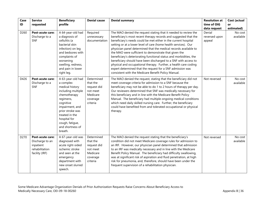| Case | <b>Service</b>                                                                       | <b>Beneficiary</b>                                                                                                                                                                                                                           | <b>Denial cause</b>                                                                   | <b>Denial summary</b>                                                                                                                                                                                                                                                                                                                                                                                                                                                                                                                                                                                                                                                                                                                    | <b>Resolution at</b>              | Cost (actual         |
|------|--------------------------------------------------------------------------------------|----------------------------------------------------------------------------------------------------------------------------------------------------------------------------------------------------------------------------------------------|---------------------------------------------------------------------------------------|------------------------------------------------------------------------------------------------------------------------------------------------------------------------------------------------------------------------------------------------------------------------------------------------------------------------------------------------------------------------------------------------------------------------------------------------------------------------------------------------------------------------------------------------------------------------------------------------------------------------------------------------------------------------------------------------------------------------------------------|-----------------------------------|----------------------|
| ID   | requested                                                                            | profile                                                                                                                                                                                                                                      |                                                                                       |                                                                                                                                                                                                                                                                                                                                                                                                                                                                                                                                                                                                                                                                                                                                          | time of OIG                       | or                   |
|      |                                                                                      |                                                                                                                                                                                                                                              |                                                                                       |                                                                                                                                                                                                                                                                                                                                                                                                                                                                                                                                                                                                                                                                                                                                          | data request                      | estimated)           |
| D260 | Post-acute care:<br>Discharge to a<br>SNF                                            | A 64-year-old had<br>a diagnosis of<br>cellulitis (a<br>bacterial skin<br>infection) on leg<br>and bedsores with<br>complaints of<br>worsening<br>swelling, redness,<br>and pain in lower<br>right leg.                                      | Required<br>unnecessary<br>documentation                                              | The MAO denied the request stating that it needed to review the<br>beneficiary's most recent therapy records and suggested that the<br>beneficiary's needs could be met either in the current hospital<br>setting or at a lower level of care (home health services). Our<br>physician panel determined that the medical records available to<br>the MAO were sufficient to demonstrate that given the<br>beneficiary's deteriorating functional status and morbidities, the<br>beneficiary should have been discharged to a SNF with access to<br>physical and occupational therapy. Further, a health care coding<br>expert determined that the request for a SNF admission was<br>consistent with the Medicare Benefit Policy Manual. | Denial<br>reversed upon<br>appeal | No cost<br>available |
| D426 | Post-acute care:<br>Discharge to a<br><b>SNF</b>                                     | A 63-year-old had<br>a complex<br>medical history<br>including multiple<br>chemotherapy<br>regimens,<br>cognitive<br>impairment, and<br>prior stroke was<br>treated in the<br>hospital for<br>cough, fatique,<br>and shortness of<br>breath. | Determined<br>that the<br>request did<br>not meet<br>Medicare<br>coverage<br>criteria | The MAO denied the request, stating that the beneficiary did not<br>meet coverage criteria for admission to a SNF because the<br>beneficiary may not be able to do 1 to 2 hours of therapy per day.<br>Our reviewers determined that SNF was medically necessary for<br>this beneficiary and in line with the Medicare Benefit Policy<br>Manual. The beneficiary had multiple ongoing medical conditions<br>which need daily skilled nursing care. Further, the beneficiary<br>could have benefited from and tolerated occupational or physical<br>therapy.                                                                                                                                                                              | Not reversed                      | No cost<br>available |
| D270 | Post-acute care:<br>Discharge to an<br>inpatient<br>rehabilitation<br>facility (IRF) | A 67-year-old was<br>diagnosed with<br>acute right-sided<br>ischemic stroke<br>and seen at the<br>emergency<br>department with<br>new onset slurred<br>speech.                                                                               | Determined<br>that the<br>request did<br>not meet<br>Medicare<br>coverage<br>criteria | The MAO denied the request stating that the beneficiary's<br>condition did not meet Medicare coverage rules for admission to<br>an IRF. However, our physician panel determined that admission<br>to an IRF was medically necessary and in line with the Medicare<br>Benefit Policy Manual. The beneficiary had difficulty swallowing,<br>was at significant risk of aspiration and fluid penetration, at high<br>risk for pneumonia, and, therefore, should have been under the<br>frequent supervision of a rehabilitation physician.                                                                                                                                                                                                  | Not reversed                      | No cost<br>available |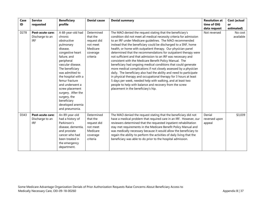| Case<br>ID | <b>Service</b><br>requested                              | <b>Beneficiary</b><br>profile                                                                                                                                                                                                                                                                                                                               | <b>Denial cause</b>                                                                   | <b>Denial summary</b>                                                                                                                                                                                                                                                                                                                                                                                                                                                                                                                                                                                                                                                                                                                                                                                                                                                                                                                                                              | <b>Resolution at</b><br>time of OIG | Cost (actual<br>or   |
|------------|----------------------------------------------------------|-------------------------------------------------------------------------------------------------------------------------------------------------------------------------------------------------------------------------------------------------------------------------------------------------------------------------------------------------------------|---------------------------------------------------------------------------------------|------------------------------------------------------------------------------------------------------------------------------------------------------------------------------------------------------------------------------------------------------------------------------------------------------------------------------------------------------------------------------------------------------------------------------------------------------------------------------------------------------------------------------------------------------------------------------------------------------------------------------------------------------------------------------------------------------------------------------------------------------------------------------------------------------------------------------------------------------------------------------------------------------------------------------------------------------------------------------------|-------------------------------------|----------------------|
|            |                                                          |                                                                                                                                                                                                                                                                                                                                                             |                                                                                       |                                                                                                                                                                                                                                                                                                                                                                                                                                                                                                                                                                                                                                                                                                                                                                                                                                                                                                                                                                                    | data request                        | estimated)           |
| D278       | <b>Post-acute care:</b><br>Discharge to an<br><b>IRF</b> | A 68-year-old had<br>chronic<br>obstructive<br>pulmonary<br>disease.<br>congestive heart<br>failure, and<br>peripheral<br>vascular disease.<br>The beneficiary<br>was admitted to<br>the hospital with a<br>femur fracture<br>and underwent a<br>screw placement<br>surgery. After the<br>surgery, the<br>beneficiary<br>developed anemia<br>and pneumonia. | Determined<br>that the<br>request did<br>not meet<br>Medicare<br>coverage<br>criteria | The MAO denied the request stating that the beneficiary's<br>condition did not meet all medical necessity criteria for admission<br>to an IRF under Medicare guidelines. The MAO recommended<br>instead that the beneficiary could be discharged to a SNF, home<br>health, or home with outpatient therapy. Our physician panel<br>determined that the recommendations for outpatient therapy were<br>not sufficient and that admission to an IRF was necessary and<br>consistent with the Medicare Benefit Policy Manual. The<br>beneficiary had ongoing medical conditions that could generate<br>more medical complications if not closely assessed by a physician<br>daily. The beneficiary also had the ability and need to participate<br>in physical therapy and occupational therapy for 3 hours at least<br>5 days per week, needed help with walking, and at least two<br>people to help with balance and recovery from the screw<br>placement in the beneficiary's hip. | Not reversed                        | No cost<br>available |
| D343       | Post-acute care:<br>Discharge to an<br><b>IRF</b>        | An 89-year-old<br>had a history of<br>Parkinson's<br>disease, dementia,<br>and prostate<br>cancer who had<br>been treated in<br>the emergency<br>department.                                                                                                                                                                                                | Determined<br>that the<br>request did<br>not meet<br>Medicare<br>coverage<br>criteria | The MAO denied the request stating that the beneficiary did not<br>have a medical problem that required care in an IRF. However, our<br>reviewers determined that the requested inpatient rehabilitation<br>stay met requirements in the Medicare Benefit Policy Manual and<br>was medically necessary because it would allow the beneficiary to<br>regain the ability to perform the activities of daily living that the<br>beneficiary was able to do prior to the hospital admission.                                                                                                                                                                                                                                                                                                                                                                                                                                                                                           | Denial<br>reversed upon<br>appeal   | \$3,039              |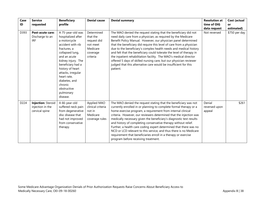| Case | <b>Service</b>                                           | <b>Beneficiary</b>                                                                                                                                                                                                                                                                                      | <b>Denial cause</b>                                                                   | <b>Denial summary</b>                                                                                                                                                                                                                                                                                                                                                                                                                                                                                                                                                                                                                                                  | <b>Resolution at</b>              | Cost (actual     |
|------|----------------------------------------------------------|---------------------------------------------------------------------------------------------------------------------------------------------------------------------------------------------------------------------------------------------------------------------------------------------------------|---------------------------------------------------------------------------------------|------------------------------------------------------------------------------------------------------------------------------------------------------------------------------------------------------------------------------------------------------------------------------------------------------------------------------------------------------------------------------------------------------------------------------------------------------------------------------------------------------------------------------------------------------------------------------------------------------------------------------------------------------------------------|-----------------------------------|------------------|
| ID   | requested                                                | profile                                                                                                                                                                                                                                                                                                 |                                                                                       |                                                                                                                                                                                                                                                                                                                                                                                                                                                                                                                                                                                                                                                                        | time of OIG<br>data request       | or<br>estimated) |
| D393 | Post-acute care:<br>Discharge to an<br><b>IRF</b>        | A 75-year-old was<br>hospitalized after<br>a motorcycle<br>accident with rib<br>fractures, a<br>collapsed lung,<br>and an acute<br>kidney injury. The<br>beneficiary had a<br>history of heart<br>attacks, irregular<br>heart rate,<br>diabetes, and<br>chronic<br>obstructive<br>pulmonary<br>disease. | Determined<br>that the<br>request did<br>not meet<br>Medicare<br>coverage<br>criteria | The MAO denied the request stating that the beneficiary did not<br>need daily care from a physician, as required by the Medicare<br>Benefit Policy Manual. However, our physician panel determined<br>that the beneficiary did require this level of care from a physician<br>due to the beneficiary's complex health needs and medical history<br>and felt that the beneficiary could tolerate the level of therapy in<br>the inpatient rehabilitation facility. The MAO's medical director<br>offered 5 days of skilled nursing care, but our physician reviewer<br>judged that this alternative care would be insufficient for this<br>patient.                     | Not reversed                      | \$750 per day    |
| D224 | Injection: Steroid<br>injection in the<br>cervical spine | A 66-year-old<br>suffered neck pain<br>from degenerative<br>disc disease that<br>had not improved<br>from conservative<br>therapy.                                                                                                                                                                      | Applied MAO<br>clinical criteria<br>not in<br>Medicare<br>coverage rules              | The MAO denied the request stating that the beneficiary was not<br>currently enrolled in or planning to complete formal therapy or a<br>home exercise program, a requirement from internal clinical<br>criteria. However, our reviewers determined that the injection was<br>medically necessary given the beneficiary's diagnostic test results<br>and history of completing conservative therapy without relief.<br>Further, a health care coding expert determined that there was no<br>NCD or LCD relevant to this service, and thus there is no Medicare<br>requirement that beneficiaries enroll in a therapy or exercise<br>program before receiving treatment. | Denial<br>reversed upon<br>appeal | \$261            |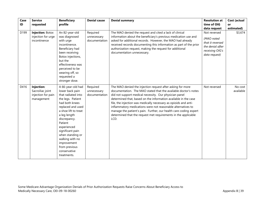| Case | <b>Service</b>                                                     | <b>Beneficiary</b>                                                                                                                                                                                                                                                                                                                 | <b>Denial cause</b>                      | <b>Denial summary</b>                                                                                                                                                                                                                                                                                                                                                                                                                                                                                                                         | <b>Resolution at</b>                                                                                   | Cost (actual         |
|------|--------------------------------------------------------------------|------------------------------------------------------------------------------------------------------------------------------------------------------------------------------------------------------------------------------------------------------------------------------------------------------------------------------------|------------------------------------------|-----------------------------------------------------------------------------------------------------------------------------------------------------------------------------------------------------------------------------------------------------------------------------------------------------------------------------------------------------------------------------------------------------------------------------------------------------------------------------------------------------------------------------------------------|--------------------------------------------------------------------------------------------------------|----------------------|
| ID   | requested                                                          | profile                                                                                                                                                                                                                                                                                                                            |                                          |                                                                                                                                                                                                                                                                                                                                                                                                                                                                                                                                               | time of OIG<br>data request                                                                            | or<br>estimated)     |
| D199 | <b>Injection: Botox</b><br>injection for urge<br>incontinence      | An 82-year-old<br>was diagnosed<br>with urge<br>incontinence.<br>Beneficiary had<br>been receiving<br>Botox injections,<br>but the<br>effectiveness was<br>perceived to be<br>wearing off, so<br>requested a<br>stronger dose.                                                                                                     | Required<br>unnecessary<br>documentation | The MAO denied the request and cited a lack of clinical<br>information about the beneficiary's previous medication use and<br>asked for additional records. However, the MAO had already<br>received records documenting this information as part of the prior<br>authorization request, making the request for additional<br>documentation unnecessary.                                                                                                                                                                                      | Not reversed<br>(MAO noted<br>that it reversed<br>the denial after<br>receiving OIG's<br>data request) | \$3,674              |
| D416 | Injection:<br>Sacroiliac joint<br>injection for pain<br>management | A 66-year-old had<br>lower back pain<br>that radiated into<br>the legs. Patient<br>had both knees<br>replaced and used<br>a shoe lift to treat<br>a leg length<br>discrepancy.<br>Patient<br>experienced<br>significant pain<br>when standing or<br>walking with no<br>improvement<br>from previous<br>conservative<br>treatments. | Required<br>unnecessary<br>documentation | The MAO denied the injection request after asking for more<br>documentation. The MAO stated that the available doctor's notes<br>did not support medical necessity. Our physician panel<br>determined that, based on the information available in the case<br>file, the injection was medically necessary as opioids and anti-<br>inflammatory medications were not reasonable alternatives to<br>manage the patient's pain. Further, our health care coding expert<br>determined that the request met requirements in the applicable<br>LCD. | Not reversed                                                                                           | No cost<br>available |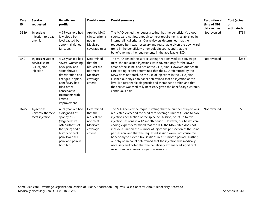| Case | <b>Service</b>                                                    | <b>Beneficiary</b>                                                                                                                                                                                                 | <b>Denial cause</b>                                                                   | <b>Denial summary</b>                                                                                                                                                                                                                                                                                                                                                                                                                                                                                                                                                                                                                                                                                                                                   | <b>Resolution at</b> | Cost (actual |
|------|-------------------------------------------------------------------|--------------------------------------------------------------------------------------------------------------------------------------------------------------------------------------------------------------------|---------------------------------------------------------------------------------------|---------------------------------------------------------------------------------------------------------------------------------------------------------------------------------------------------------------------------------------------------------------------------------------------------------------------------------------------------------------------------------------------------------------------------------------------------------------------------------------------------------------------------------------------------------------------------------------------------------------------------------------------------------------------------------------------------------------------------------------------------------|----------------------|--------------|
| ID   | requested                                                         | profile                                                                                                                                                                                                            |                                                                                       |                                                                                                                                                                                                                                                                                                                                                                                                                                                                                                                                                                                                                                                                                                                                                         | time of OIG          | or           |
|      |                                                                   |                                                                                                                                                                                                                    |                                                                                       |                                                                                                                                                                                                                                                                                                                                                                                                                                                                                                                                                                                                                                                                                                                                                         | data request         | estimated)   |
| D339 | Injection:<br>Injection to treat<br>anemia                        | A 75-year-old had<br>low blood iron<br>level caused by<br>abnormal kidney<br>function.                                                                                                                             | Applied MAO<br>clinical criteria<br>not in<br>Medicare<br>coverage rules              | The MAO denied the request stating that the beneficiary's blood<br>counts were not low enough to meet requirements established in<br>internal clinical criteria. Our reviewers determined that the<br>requested item was necessary and reasonable given the downward<br>trend in the beneficiary's hemoglobin count, and that the<br>beneficiary met the requirements in the applicable NCD.                                                                                                                                                                                                                                                                                                                                                            | Not reversed         | \$754        |
| D401 | Injection: Upper<br>cervical spine<br>$(C1-2)$ joint<br>injection | A 72-year-old had<br>severe, worsening<br>neck pain, and<br>scans showed<br>deterioration and<br>changes in spine.<br>Beneficiary had<br>tried other<br>conservative<br>treatments with<br>limited<br>improvement. | Determined<br>that the<br>request did<br>not meet<br>Medicare<br>coverage<br>criteria | The MAO denied the service stating that per Medicare coverage<br>rules, the requested injections were covered only for the lower<br>areas of the spine, and not at the C1-2 joint. However, our health<br>care coding expert determined that the LCD referenced by the<br>MAO does not preclude the use of injections in the C1-2 joint.<br>Further, our physician panel determined that an injection at this<br>level is a reasonable diagnostic and therapeutic option and that<br>the service was medically necessary given the beneficiary's chronic,<br>continuous pain.                                                                                                                                                                           | Not reversed         | \$238        |
| D475 | Injection:<br>Cervical/ thoracic<br>facet injection               | A 59-year-old had<br>a diagnosis of<br>spondylosis<br>(degenerative<br>osteoarthritis of<br>the spine) and a<br>history of neck<br>pain, low back<br>pain, and pain in<br>both hips.                               | Determined<br>that the<br>request did<br>not meet<br>Medicare<br>coverage<br>criteria | The MAO denied the request stating that the number of injections<br>requested exceeded the Medicare coverage limit of (1) one to two<br>injections per section of the spine per session, or (2) up to five<br>injection sessions in a 12-month period. However, our health care<br>coding expert determined that the LCD the MAO cited does not<br>include a limit on the number of injections per section of the spine<br>per session, and that the requested session would not cause the<br>beneficiary to exceed five sessions in a 12-month period. Further,<br>our physician panel determined that the injection was medically<br>necessary and noted that the beneficiary experienced significant<br>relief from two previous injection sessions. | Not reversed         | \$95         |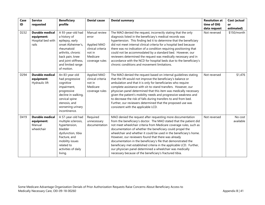| Case<br>ID | <b>Service</b><br>requested                                        | <b>Beneficiary</b><br>profile                                                                                                                                                                | <b>Denial cause</b>                                                                                | <b>Denial summary</b>                                                                                                                                                                                                                                                                                                                                                                                                                                                                                                                                                                                                                                             | <b>Resolution at</b><br>time of OIG<br>data request | Cost (actual<br>or<br>estimated) |
|------------|--------------------------------------------------------------------|----------------------------------------------------------------------------------------------------------------------------------------------------------------------------------------------|----------------------------------------------------------------------------------------------------|-------------------------------------------------------------------------------------------------------------------------------------------------------------------------------------------------------------------------------------------------------------------------------------------------------------------------------------------------------------------------------------------------------------------------------------------------------------------------------------------------------------------------------------------------------------------------------------------------------------------------------------------------------------------|-----------------------------------------------------|----------------------------------|
| D232       | <b>Durable medical</b><br>equipment:<br>Hospital bed with<br>rails | A 93-year-old had<br>a history of<br>epilepsy, early<br>onset Alzheimer's,<br>rheumatoid<br>arthritis, chronic<br>back pain, knee<br>and joint stiffness,<br>and limited range<br>of motion. | Manual review<br>error<br>Applied MAO<br>clinical criteria<br>not in<br>Medicare<br>coverage rules | The MAO denied the request, incorrectly stating that the only<br>diagnosis listed in the beneficiary's medical records was<br>hypertension. This finding led it to determine that the beneficiary<br>did not meet internal clinical criteria for a hospital bed because<br>there was no indication of a condition requiring positioning that<br>could not be accommodated by a standard bed. However, our<br>reviewers determined the request was medically necessary and in<br>accordance with the NCD for hospital beds due to the beneficiary's<br>chronic conditions and movement limitations.                                                                | Not reversed                                        | \$150/month                      |
| D294       | <b>Durable medical</b><br>equipment:<br>Hydraulic lift             | An 83-year-old<br>had progressive<br>cognitive<br>impairment,<br>progressive<br>decline in walking,<br>cervical spine<br>stenosis, and<br>worsening urinary<br>incontinence.                 | Applied MAO<br>clinical criteria<br>not in<br>Medicare<br>coverage rules                           | The MAO denied the request based on internal guidelines stating<br>that the lift would not improve the beneficiary's balance or<br>ambulation and that it is only for beneficiaries who require<br>complete assistance with sit-to-stand transfers. However, our<br>physician panel determined that this item was medically necessary<br>given the patient's mobility needs and progressive weakness and<br>to decrease the risk of falls during transfers to and from bed.<br>Further, our reviewers determined that the proposed use was<br>consistent with the applicable LCD.                                                                                 | Not reversed                                        | \$1,476                          |
| D419       | <b>Durable medical</b><br>equipment:<br>Manual<br>wheelchair       | A 57-year-old had<br>multiple sclerosis,<br>hypertension,<br>bladder<br>dysfunction, tibia<br>fracture, and<br>mobility issues<br>related to<br>activities of daily<br>living.               | Required<br>unnecessary<br>documentation                                                           | MAO denied the request after requesting more documentation<br>from the beneficiary's doctor. The MAO stated that the patient did<br>not meet wheelchair criteria from Medicare coverage rules, such as<br>documentation of whether the beneficiary could propel the<br>wheelchair and whether it could be used in the beneficiary's home.<br>However, our reviewers found that there was already<br>documentation in the beneficiary's file that demonstrated the<br>beneficiary met established criteria in the applicable LCD. Further,<br>our physician panel determined a wheelchair was medically<br>necessary because of the beneficiary's fractured tibia. | Not reversed                                        | No cost<br>available             |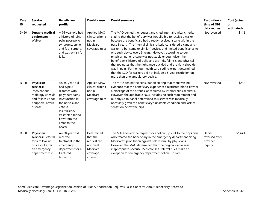| Case | <b>Service</b>                                                                                                       | <b>Beneficiary</b>                                                                                                                                                                                | <b>Denial cause</b>                                                                   | <b>Denial summary</b>                                                                                                                                                                                                                                                                                                                                                                                                                                                                                                                                                                                                                                                                                                                                                                              | <b>Resolution at</b>                            | Cost (actual |
|------|----------------------------------------------------------------------------------------------------------------------|---------------------------------------------------------------------------------------------------------------------------------------------------------------------------------------------------|---------------------------------------------------------------------------------------|----------------------------------------------------------------------------------------------------------------------------------------------------------------------------------------------------------------------------------------------------------------------------------------------------------------------------------------------------------------------------------------------------------------------------------------------------------------------------------------------------------------------------------------------------------------------------------------------------------------------------------------------------------------------------------------------------------------------------------------------------------------------------------------------------|-------------------------------------------------|--------------|
| ID   | requested                                                                                                            | profile                                                                                                                                                                                           |                                                                                       |                                                                                                                                                                                                                                                                                                                                                                                                                                                                                                                                                                                                                                                                                                                                                                                                    | time of OIG                                     | or           |
|      |                                                                                                                      |                                                                                                                                                                                                   |                                                                                       |                                                                                                                                                                                                                                                                                                                                                                                                                                                                                                                                                                                                                                                                                                                                                                                                    | data request                                    | estimated)   |
| D460 | <b>Durable medical</b><br>equipment:<br>Walker                                                                       | A 76-year-old had<br>a history of joint<br>pain, post-polio<br>syndrome, ankle<br>and foot surgery,<br>and was at-risk for<br>falls.                                                              | Applied MAO<br>clinical criteria<br>not in<br>Medicare<br>coverage rules              | The MAO denied the request and cited internal clinical criteria,<br>stating that the beneficiary was not eligible to receive a walker<br>because the beneficiary had already received a cane within the<br>past 5 years. The internal clinical criteria considered a cane and<br>walker to be "same or similar" devices and limited beneficiaries to<br>one such device every 5 years. However, according to our<br>physician panel, a cane was not stable enough given the<br>beneficiary's history of polio and arthritis, fall risk, and physical<br>therapy notes that the right knee buckled and the right shoulder<br>was in pain. Further, our health care coding expert determined<br>that the LCD for walkers did not include a 5-year restriction on<br>more than one ambulatory device. | Not reversed                                    | \$112        |
| D320 | Physician<br>services:<br>Interventional<br>radiology consult<br>and follow-up for<br>peripheral arterial<br>disease | An 85-year-old<br>had type 2<br>diabetes with<br>polyneuropathy<br>(dysfunction in<br>the nerves) and<br>venous<br>insufficiency<br>(restricted blood<br>flow from the<br>limbs to the<br>heart). | Applied MAO<br>clinical criteria<br>not in<br>Medicare<br>coverage rules              | The MAO denied the consultation stating that there was no<br>evidence that the beneficiary experienced restricted blood flow or<br>a blockage of the arteries, as required by internal clinical criteria.<br>However, the applicable NCD includes no such requirement and<br>our physician panel determined this service was medically<br>necessary given the beneficiary's unstable condition and lack of<br>sensation below the hips.                                                                                                                                                                                                                                                                                                                                                            | Not reversed                                    | \$286        |
| D300 | Physician<br>services: Referral<br>for a follow-up<br>office visit after<br>an emergency<br>department visit.        | An 80-year-old<br>received<br>treatment in the<br>emergency<br>department for a<br>fractured<br>humerus.                                                                                          | Determined<br>that the<br>request did<br>not meet<br>Medicare<br>coverage<br>criteria | The MAO denied the request for a follow-up visit to the physician<br>who treated the beneficiary in the emergency department citing<br>Medicare's prohibition against self-referral by physicians.<br>However, the MAO determined that the original denial was<br>inappropriate because Medicare self-referral rules make an<br>exception for emergency department follow-up care.                                                                                                                                                                                                                                                                                                                                                                                                                 | Denial<br>reversed after<br>provider<br>inquiry | \$1,641      |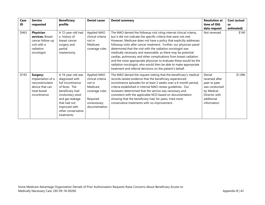| Case | <b>Service</b>                                                                                     | <b>Beneficiary</b>                                                                                                                                                                                         | <b>Denial cause</b>                                                                                                  | <b>Denial summary</b>                                                                                                                                                                                                                                                                                                                                                                                                                                                                                                                                                                                                                                                                            | <b>Resolution at</b>                                                                                                  | Cost (actual |
|------|----------------------------------------------------------------------------------------------------|------------------------------------------------------------------------------------------------------------------------------------------------------------------------------------------------------------|----------------------------------------------------------------------------------------------------------------------|--------------------------------------------------------------------------------------------------------------------------------------------------------------------------------------------------------------------------------------------------------------------------------------------------------------------------------------------------------------------------------------------------------------------------------------------------------------------------------------------------------------------------------------------------------------------------------------------------------------------------------------------------------------------------------------------------|-----------------------------------------------------------------------------------------------------------------------|--------------|
| ID   | requested                                                                                          | profile                                                                                                                                                                                                    |                                                                                                                      |                                                                                                                                                                                                                                                                                                                                                                                                                                                                                                                                                                                                                                                                                                  | time of OIG                                                                                                           | <b>or</b>    |
|      |                                                                                                    |                                                                                                                                                                                                            |                                                                                                                      |                                                                                                                                                                                                                                                                                                                                                                                                                                                                                                                                                                                                                                                                                                  | data request                                                                                                          | estimated)   |
| D463 | Physician<br>services: Breast<br>cancer follow-up<br>visit with a<br>radiation<br>oncologist       | A 72-year-old had<br>a history of<br>breast cancer<br>surgery and<br>partial<br>mastectomy.                                                                                                                | Applied MAO<br>clinical criteria<br>not in<br>Medicare<br>coverage rules                                             | The MAO denied the followup visit citing internal clinical criteria,<br>but it did not indicate the specific criteria that were not met.<br>However, Medicare does not have a policy that explicitly addresses<br>followup visits after cancer treatment. Further, our physician panel<br>determined that the visit with the radiation oncologist was<br>medically necessary and reasonable, as there may be potential<br>cardiac, pulmonary and other complications from breast radiation<br>and the most appropriate physician to evaluate these would be the<br>radiation oncologist, who would then be able to make appropriate<br>treatment and referral decisions on the patient's behalf. | Not reversed                                                                                                          | \$140        |
| D193 | Surgery:<br>Implantation of a<br>neurostimulator<br>device that can<br>treat bowel<br>incontinence | A 74-year-old was<br>diagnosed with<br>full incontinence<br>of feces. The<br>beneficiary had<br>involuntary stool<br>and gas leakage<br>that had not<br>improved with<br>other conservative<br>treatments. | Applied MAO<br>clinical criteria<br>not in<br>Medicare<br>coverage rules<br>Required<br>unnecessary<br>documentation | The MAO denied the request stating that the beneficiary's medical<br>records lacked evidence that the beneficiary experienced<br>incontinence episodes for at least 2 weeks over a 6-month period,<br>criteria established in internal MAO review guidelines. Our<br>reviewers determined that the service was necessary and<br>consistent with the applicable NCD based on documentation<br>showing that the beneficiary had, for years, tried more<br>conservative treatments with no improvement.                                                                                                                                                                                             | Denial<br>reversed after<br>peer to peer<br>was conducted<br>by Medical<br>Director with<br>additional<br>information | \$1,096      |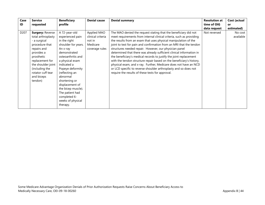| Case             | <b>Service</b>                                                                                                                                                                                                                      | <b>Beneficiary</b>                                                                                                                                                                                                                                                                                                                           | <b>Denial cause</b>                                                      | <b>Denial summary</b>                                                                                                                                                                                                                                                                                                                                                                                                                                                                                                                                                                                                                                                                                                                                         | <b>Resolution at</b> | Cost (actual         |
|------------------|-------------------------------------------------------------------------------------------------------------------------------------------------------------------------------------------------------------------------------------|----------------------------------------------------------------------------------------------------------------------------------------------------------------------------------------------------------------------------------------------------------------------------------------------------------------------------------------------|--------------------------------------------------------------------------|---------------------------------------------------------------------------------------------------------------------------------------------------------------------------------------------------------------------------------------------------------------------------------------------------------------------------------------------------------------------------------------------------------------------------------------------------------------------------------------------------------------------------------------------------------------------------------------------------------------------------------------------------------------------------------------------------------------------------------------------------------------|----------------------|----------------------|
| ID               | requested                                                                                                                                                                                                                           | profile                                                                                                                                                                                                                                                                                                                                      |                                                                          |                                                                                                                                                                                                                                                                                                                                                                                                                                                                                                                                                                                                                                                                                                                                                               | time of OIG          | <b>or</b>            |
|                  |                                                                                                                                                                                                                                     |                                                                                                                                                                                                                                                                                                                                              |                                                                          |                                                                                                                                                                                                                                                                                                                                                                                                                                                                                                                                                                                                                                                                                                                                                               | data request         | estimated)           |
| D <sub>207</sub> | <b>Surgery: Reverse</b><br>total arthroplasty<br>- a surgical<br>procedure that<br>repairs and<br>provides a<br>prosthetic<br>replacement for<br>the shoulder joint<br>(including the<br>rotator cuff tear<br>and biceps<br>tendon) | A 72-year-old<br>experienced pain<br>in the right<br>shoulder for years.<br>An x-ray<br>demonstrated<br>osteoarthritis and<br>a physical exam<br>indicated a<br>Popeye deformity<br>(reflecting an<br>abnormal<br>shortening or<br>displacement of<br>the bicep muscle).<br>The patient had<br>completed 6-<br>weeks of physical<br>therapy. | Applied MAO<br>clinical criteria<br>not in<br>Medicare<br>coverage rules | The MAO denied the request stating that the beneficiary did not<br>meet requirements from internal clinical criteria, such as providing<br>the results from an exam that uses physical manipulation of the<br>joint to test for pain and confirmation from an MRI that the tendon<br>structures needed repair. However, our physician panel<br>determined that there was already sufficient clinical information in<br>the beneficiary's medical records to justify the joint replacement<br>with the tendon structure repair based on the beneficiary's history,<br>physical exam, and x-ray. Further, Medicare does not have an NCD<br>or LCD specific to reverse shoulder arthroplasty and so does not<br>require the results of these tests for approval. | Not reversed         | No cost<br>available |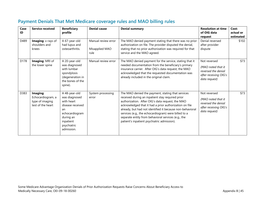| Case<br>ID | Service received                                                      | <b>Beneficiary</b><br>profile                                                                                                                   | <b>Denial cause</b>                           | <b>Denial summary</b>                                                                                                                                                                                                                                                                                                                                                                                                                          | <b>Resolution at time</b><br>of OIG data<br>request                                                 | Cost:<br>actual or<br>estimated |
|------------|-----------------------------------------------------------------------|-------------------------------------------------------------------------------------------------------------------------------------------------|-----------------------------------------------|------------------------------------------------------------------------------------------------------------------------------------------------------------------------------------------------------------------------------------------------------------------------------------------------------------------------------------------------------------------------------------------------------------------------------------------------|-----------------------------------------------------------------------------------------------------|---------------------------------|
| D489       | Imaging: x-rays of<br>shoulders and<br>knees                          | A 67-year-old<br>had lupus and<br>osteoarthritis.                                                                                               | Manual review error<br>Misapplied MAO<br>rule | The MAO denied payment stating that there was no prior<br>authorization on file. The provider disputed the denial,<br>stating that no prior authorization was required for that<br>service and the MAO agreed.                                                                                                                                                                                                                                 | Denial reversed<br>after provider<br>dispute                                                        | \$102                           |
| D178       | Imaging: MRI of<br>the lower spine                                    | A 20-year-old<br>was diagnosed<br>with lumbar<br>spondylosis<br>(degeneration in<br>the bones of the<br>spine).                                 | Manual review error                           | The MAO denied payment for the service, stating that it<br>needed documentation from the beneficiary's primary<br>insurance carrier. After OIG's data request, the MAO<br>acknowledged that the requested documentation was<br>already included in the original claim.                                                                                                                                                                         | Not reversed<br>(MAO noted that it<br>reversed the denial<br>after receiving OIG's<br>data request) | \$73                            |
| D383       | Imaging:<br>Echocardiogram, a<br>type of imaging<br>test of the heart | A 48-year-old<br>was diagnosed<br>with heart<br>disease received<br>an<br>echocardiogram<br>during an<br>inpatient<br>psychiatric<br>admission. | System processing<br>error                    | The MAO denied the payment, stating that services<br>received during an inpatient stay required prior<br>authorization. After OIG's data request, the MAO<br>acknowledged that it had a prior authorization on file<br>already, but had not identified it because non-behavioral<br>services (e.g., the echocardiogram) were billed to a<br>separate entity from behavioral services (e.g., the<br>patient's inpatient psychiatric admission). | Not reversed<br>(MAO noted that it<br>reversed the denial<br>after receiving OIG's<br>data request) | \$73                            |

# **Payment Denials That Met Medicare coverage rules and MAO billing rules**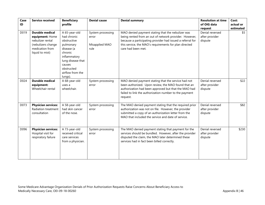| Case<br>ID | <b>Service received</b>                                                                                                   | <b>Beneficiary</b><br>profile                                                                                                                                                 | <b>Denial cause</b>                                  | <b>Denial summary</b>                                                                                                                                                                                                                                     | <b>Resolution at time</b><br>of OIG data<br>request | Cost:<br>actual or<br>estimated |
|------------|---------------------------------------------------------------------------------------------------------------------------|-------------------------------------------------------------------------------------------------------------------------------------------------------------------------------|------------------------------------------------------|-----------------------------------------------------------------------------------------------------------------------------------------------------------------------------------------------------------------------------------------------------------|-----------------------------------------------------|---------------------------------|
| D019       | <b>Durable medical</b><br>equipment: Home<br>nebulizer rental<br>(nebulizers change<br>medication from<br>liquid to mist) | A 65-year-old<br>had chronic<br>obstructive<br>pulmonary<br>disease (a<br>chronic<br>inflammatory<br>lung disease that<br>causes<br>obstructed<br>airflow from the<br>lungs). | System processing<br>error<br>Misapplied MAO<br>rule | MAO denied payment stating that the nebulizer was<br>being rented from an out of network provider. However,<br>because a participating provider had issued a referral for<br>this service, the MAO's requirements for plan directed<br>care had been met. | Denial reversed<br>after provider<br>dispute        | \$5                             |
| D024       | <b>Durable medical</b><br>equipment:<br>Wheelchair rental                                                                 | A 68-year-old<br>uses a<br>wheelchair.                                                                                                                                        | System processing<br>error                           | MAO denied payment stating that the service had not<br>been authorized. Upon review, the MAO found that an<br>authorization had been approved but that the MAO had<br>failed to link the authorization number to the payment<br>request.                  | Denial reversed<br>after provider<br>dispute        | \$22                            |
| D073       | <b>Physician services:</b><br>Radiation treatment<br>consultation                                                         | A 58-year-old<br>had skin cancer<br>of the nose.                                                                                                                              | System processing<br>error                           | The MAO denied payment stating that the required prior<br>authorization was not on file. However, the provider<br>submitted a copy of an authorization letter from the<br>MAO that included the service and date of service.                              | Denial reversed<br>after provider<br>dispute        | \$82                            |
| D096       | <b>Physician services:</b><br>Hospital visit for<br>respiratory failure                                                   | A 73-year-old<br>received critical<br>care services<br>from a physician.                                                                                                      | System processing<br>error                           | The MAO denied payment stating that payment for the<br>services should be bundled. However, after the provider<br>disputed the claim, the MAO later determined these<br>services had in fact been billed correctly.                                       | Denial reversed<br>after provider<br>dispute        | \$230                           |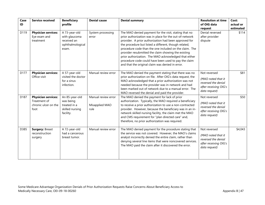| Case<br>ID | <b>Service received</b>                                                    | <b>Beneficiary</b><br>profile                                               | <b>Denial cause</b>                           | <b>Denial summary</b>                                                                                                                                                                                                                                                                                                                                                                                                                                                                                                    | <b>Resolution at time</b><br>of OIG data<br>request                                                 | Cost:<br>actual or<br>estimated |
|------------|----------------------------------------------------------------------------|-----------------------------------------------------------------------------|-----------------------------------------------|--------------------------------------------------------------------------------------------------------------------------------------------------------------------------------------------------------------------------------------------------------------------------------------------------------------------------------------------------------------------------------------------------------------------------------------------------------------------------------------------------------------------------|-----------------------------------------------------------------------------------------------------|---------------------------------|
| D119       | <b>Physician services:</b><br>Eye exam and<br>treatment                    | A 73-year-old<br>with glaucoma<br>received an<br>ophthalmological<br>exam.  | System processing<br>error                    | The MAO denied payment for the visit, stating that no<br>prior authorization was in place for the out-of-network<br>provider. A prior authorization had been approved for<br>the procedure but listed a different, though related,<br>procedure code than the one included on the claim. The<br>provider resubmitted the claim showing the existing<br>prior authorization. The MAO acknowledged that either<br>procedure code could have been used to pay the claim<br>and that the original claim was denied in error. | Denial reversed<br>after provider<br>dispute                                                        | \$114                           |
| D177       | <b>Physician services:</b><br>Office visit                                 | A 57-year-old<br>visited the doctor<br>for a sinus<br>infection.            | Manual review error                           | The MAO denied the payment stating that there was no<br>prior authorization on file. After OIG's data request, the<br>MAO acknowledged that a prior authorization was not<br>needed because the provider was in-network and had<br>been marked out of network due to a manual error. The<br>MAO reversed the denial and paid the provider.                                                                                                                                                                               | Not reversed<br>(MAO noted that it<br>reversed the denial<br>after receiving OIG's<br>data request) | \$81                            |
| D187       | <b>Physician services:</b><br>Treatment of<br>chronic ulcer on the<br>foot | An 85-year-old<br>was being<br>treated in a<br>skilled nursing<br>facility. | Manual review error<br>Misapplied MAO<br>rule | The MAO denied the payment for lack of prior<br>authorization. Typically, the MAO required a beneficiary<br>to receive a prior authorization to use a non-contracted<br>provider. However, because the beneficiary was in an in-<br>network skilled nursing facility, the claim met the MAO<br>and CMS requirement for "plan directed care" and,<br>therefore, no prior authorization was required.                                                                                                                      | Not reversed<br>(MAO noted that it<br>reversed the denial<br>after receiving OIG's<br>data request) | \$50                            |
| D385       | <b>Surgery: Breast</b><br>reconstruction<br>surgery                        | A 72-year-old<br>had a cancerous<br>breast tumor.                           | Manual review error                           | The MAO denied payment for the procedure stating that<br>the service was not covered. However, the MAO's claims<br>analyst incorrectly denied the entire claim, rather than<br>denying several line items that were noncovered services.<br>The MAO paid the claim after it discovered the error.                                                                                                                                                                                                                        | Not reversed<br>(MAO noted that it<br>reversed the denial<br>after receiving OIG's<br>data request) | \$4,043                         |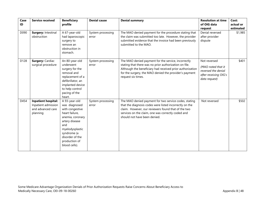| Case<br>ID | <b>Service received</b>                                                            | <b>Beneficiary</b><br>profile                                                                                                                                                                           | <b>Denial cause</b>        | <b>Denial summary</b>                                                                                                                                                                                                                                         | <b>Resolution at time</b><br>of OIG data<br>request                                                 | Cost:<br>actual or<br>estimated |
|------------|------------------------------------------------------------------------------------|---------------------------------------------------------------------------------------------------------------------------------------------------------------------------------------------------------|----------------------------|---------------------------------------------------------------------------------------------------------------------------------------------------------------------------------------------------------------------------------------------------------------|-----------------------------------------------------------------------------------------------------|---------------------------------|
| D090       | Surgery: Intestinal<br>obstruction                                                 | A 67-year-old<br>had laparoscopic<br>surgery to<br>remove an<br>obstruction in<br>stomach.                                                                                                              | System processing<br>error | The MAO denied payment for the procedure stating that<br>the claim was submitted too late. However, the provider<br>submitted evidence that the invoice had been previously<br>submitted to the MAO.                                                          | Denial reversed<br>after provider<br>dispute                                                        | \$1,985                         |
| D128       | <b>Surgery: Cardiac</b><br>surgical procedure                                      | An 80-year-old<br>underwent<br>surgery for the<br>removal and<br>replacement of a<br>defibrillator, an<br>implanted device<br>to help control<br>pacing of the<br>heart.                                | System processing<br>error | The MAO denied payment for the service, incorrectly<br>stating that there was no prior authorization on file.<br>Although the beneficiary had received prior authorization<br>for the surgery, the MAO denied the provider's payment<br>request six times.    | Not reversed<br>(MAO noted that it<br>reversed the denial<br>after receiving OIG's<br>data request) | \$401                           |
| D454       | <b>Inpatient hospital:</b><br>Inpatient admission<br>and advanced care<br>planning | A 93-year-old<br>was diagnosed<br>with congestive<br>heart failure,<br>anemia, coronary<br>artery disease<br>and<br>myelodysplastic<br>syndrome (a<br>disorder of the<br>production of<br>blood cells). | System processing<br>error | The MAO denied payment for two service codes, stating<br>that the diagnosis codes were listed incorrectly on the<br>claim. However, our reviewers found that of the two<br>services on the claim, one was correctly coded and<br>should not have been denied. | Not reversed                                                                                        | \$502                           |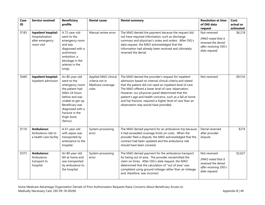| Case<br>ID | <b>Service received</b>                                                        | <b>Beneficiary</b><br>profile                                                                                                                                                                                     | <b>Denial cause</b>                                                   | <b>Denial summary</b>                                                                                                                                                                                                                                                                                                                                                                                                                                      | <b>Resolution at time</b><br>of OIG data<br>request                                                 | Cost:<br>actual or<br>estimated |
|------------|--------------------------------------------------------------------------------|-------------------------------------------------------------------------------------------------------------------------------------------------------------------------------------------------------------------|-----------------------------------------------------------------------|------------------------------------------------------------------------------------------------------------------------------------------------------------------------------------------------------------------------------------------------------------------------------------------------------------------------------------------------------------------------------------------------------------------------------------------------------------|-----------------------------------------------------------------------------------------------------|---------------------------------|
| D183       | <b>Inpatient hospital:</b><br>Hospitalization<br>after emergency<br>room visit | A 72-year-old<br>went to the<br>emergency room<br>and was<br>diagnosed with a<br>pulmonary<br>embolism, a<br>blockage in the<br>arteries in the<br>lungs.                                                         | Manual review error                                                   | The MAO denied the payment because the request did<br>not have required information, such as discharge<br>summary and physician's notes and orders. After OIG's<br>data request, the MAO acknowledged that the<br>information had already been received and ultimately<br>reversed the denial.                                                                                                                                                             | Not reversed<br>(MAO noted that it<br>reversed the denial<br>after receiving OIG's<br>data request) | \$6,218                         |
| D440       | <b>Inpatient hospital:</b><br>Inpatient admission                              | An 80-year-old<br>went to the<br>emergency room;<br>the patient had<br>fallen 24 hours<br>before and was<br>unable to get up.<br>Beneficiary was<br>diagnosed with a<br>fracture in the<br>thigh bone<br>(femur). | Applied MAO clinical<br>criteria not in<br>Medicare coverage<br>rules | The MAO denied the provider's request for inpatient<br>admission based on internal clinical criteria and stated<br>that the patient did not need an inpatient level of care.<br>The MAO offered a lower level of care: observation.<br>However, our physician panel determined that the<br>patient's age and health concerns, such as a fall at home<br>and hip fracture, required a higher level of care than an<br>observation stay would have provided. | Not reversed                                                                                        | \$9,516                         |
| D116       | <b>Ambulance:</b><br>Ambulance ride to<br>a health care facility               | A 61-year-old<br>with sepsis was<br>transported by<br>ambulance to the<br>hospital.                                                                                                                               | System processing<br>error                                            | The MAO denied payment for an ambulance trip because<br>it had exceeded coverage limits on costs. When the<br>provider filed a dispute, the MAO acknowledged that the<br>contract had been updated and the ambulance ride<br>should have been covered.                                                                                                                                                                                                     | Denial reversed<br>after provider<br>dispute                                                        | \$274                           |
| D375       | <b>Ambulance:</b><br>Ambulance<br>transport to<br>hospital                     | An 80-year-old<br>fell at home and<br>was transported<br>by ambulance to<br>the hospital.                                                                                                                         | System processing<br>error                                            | The MAO denied payment for the ambulance transport<br>for being out of area. The provider resubmitted the<br>claim six times. After OIG's data request, the MAO<br>determined that the calculation of "out of area" was<br>completed using ground mileage rather than air mileage<br>and, therefore, was incorrect.                                                                                                                                        | Not reversed<br>(MAO noted that it<br>reversed the denial<br>after receiving OIG's<br>data request) | \$2,627                         |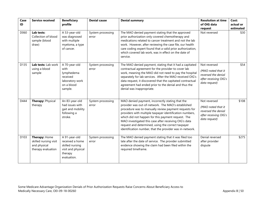| Case<br>ID       | <b>Service received</b>                                                      | <b>Beneficiary</b><br>profile                                                                       | <b>Denial cause</b>        | <b>Denial summary</b>                                                                                                                                                                                                                                                                                                                                                                                                                                        | <b>Resolution at time</b><br>of OIG data<br>request                                                 | Cost:<br>actual or<br>estimated |
|------------------|------------------------------------------------------------------------------|-----------------------------------------------------------------------------------------------------|----------------------------|--------------------------------------------------------------------------------------------------------------------------------------------------------------------------------------------------------------------------------------------------------------------------------------------------------------------------------------------------------------------------------------------------------------------------------------------------------------|-----------------------------------------------------------------------------------------------------|---------------------------------|
| D060             | Lab tests:<br>Collection of blood<br>sample (blood<br>draw)                  | A 53-year-old<br>was diagnosed<br>with multiple<br>myeloma, a type<br>of cancer.                    | System processing<br>error | The MAO denied payment stating that the approved<br>prior authorization only covered chemotherapy and<br>medications related to cancer treatment and not the lab<br>work. However, after reviewing the case file, our health<br>care coding expert found that a valid prior authorization,<br>which covered lab work, was in effect on the date of<br>service.                                                                                               | Not reversed                                                                                        | \$30                            |
| D135             | Lab tests: Lab work<br>using a blood<br>sample                               | A 70-year-old<br>with<br>lymphedema<br>received<br>laboratory work<br>on a blood<br>sample.         | System processing<br>error | The MAO denied payment, stating that it had a capitated<br>contractual agreement for the provider to cover lab<br>work, meaning the MAO did not need to pay the hospital<br>separately for lab services. After the MAO received OIG's<br>data request, it discovered that the capitated contractual<br>agreement had ended prior to the denial and thus the<br>denial was inappropriate.                                                                     | Not reversed<br>(MAO noted that it<br>reversed the denial<br>after receiving OIG's<br>data request) | \$54                            |
| D444             | Therapy: Physical<br>therapy                                                 | An 83-year-old<br>had issues with<br>gait and mobility<br>following a<br>stroke.                    | System processing<br>error | MAO denied payment, incorrectly stating that the<br>provider was out-of-network. The MAO's established<br>procedure was to manually review payment requests for<br>providers with multiple taxpayer identification numbers,<br>which did not happen for this payment request. The<br>MAO investigated this case after receiving OIG's data<br>request and determined, using the correct taxpayer<br>identification number, that the provider was in-network. | Not reversed<br>(MAO noted that it<br>reversed the denial<br>after receiving OIG's<br>data request) | \$108                           |
| D <sub>103</sub> | Therapy: Home<br>skilled nursing visit<br>and physical<br>therapy evaluation | A 91-year-old<br>received a home<br>skilled nursing<br>visit and physical<br>therapy<br>evaluation. | System processing<br>error | The MAO denied payment stating that it was filed too<br>late after the date of service. The provider submitted<br>evidence showing the claim had been filed within the<br>required timeframe.                                                                                                                                                                                                                                                                | Denial reversed<br>after provider<br>dispute                                                        | \$275                           |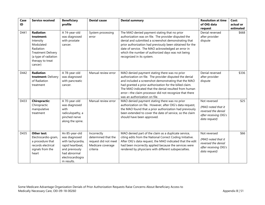| Case<br>ID | <b>Service received</b>                                                                                                                                   | <b>Beneficiary</b><br>profile                                                                                                                | <b>Denial cause</b>                                                                         | <b>Denial summary</b>                                                                                                                                                                                                                                                                                                                                                           | <b>Resolution at time</b><br>of OIG data<br>request                                                 | Cost:<br>actual or<br>estimated |
|------------|-----------------------------------------------------------------------------------------------------------------------------------------------------------|----------------------------------------------------------------------------------------------------------------------------------------------|---------------------------------------------------------------------------------------------|---------------------------------------------------------------------------------------------------------------------------------------------------------------------------------------------------------------------------------------------------------------------------------------------------------------------------------------------------------------------------------|-----------------------------------------------------------------------------------------------------|---------------------------------|
| D441       | <b>Radiation</b><br>treatment:<br>Intensity<br>Modulated<br>Radiation<br><b>Treatment Delivery</b><br>(a type of radiation<br>therapy to treat<br>cancer) | A 74-year-old<br>was diagnosed<br>with prostate<br>cancer.                                                                                   | System processing<br>error                                                                  | The MAO denied payment stating that no prior<br>authorization was on file. The provider disputed the<br>denial and submitted a screenshot demonstrating that<br>prior authorization had previously been obtained for the<br>date of service. The MAO acknowledged an error in<br>which the number of authorized days was not being<br>recognized in its system.                 | Denial reversed<br>after provider<br>dispute                                                        | \$668                           |
| D442       | <b>Radiation</b><br>treatment: Delivery<br>of Radiation<br>treatment                                                                                      | A 78-year-old<br>was diagnosed<br>with pancreatic<br>cancer.                                                                                 | Manual review error                                                                         | MAO denied payment stating there was no prior<br>authorization on file. The provider disputed the denial<br>and included a screenshot demonstrating that the MAO<br>had granted a prior authorization for the billed claim.<br>The MAO indicated that the denial resulted from human<br>error-the claim processor did not recognize that there<br>was an authorization on file. | Denial reversed<br>after provider<br>dispute                                                        | \$336                           |
| D433       | <b>Chiropractic:</b><br>Chiropractic<br>manipulative<br>treatment                                                                                         | A 70-year-old<br>was diagnosed<br>with<br>radiculopathy, a<br>pinched nerve<br>along the spine.                                              | Manual review error                                                                         | MAO denied payment stating there was no prior<br>authorization on file. However, after OIG's data request,<br>the MAO found that a prior authorization had previously<br>been extended to cover the date of service, so the claim<br>should have been approved.                                                                                                                 | Not reversed<br>(MAO noted that it<br>reversed the denial<br>after receiving OIG's<br>data request) | \$25                            |
| D435       | Other test:<br>Electrocardio-gram,<br>a procedure that<br>records electrical<br>signals from the<br>heart                                                 | An 85-year-old<br>was diagnosed<br>with tachycardia,<br>rapid heartbeat,<br>and previously<br>had abnormal<br>electrocardiogra<br>m results. | Incorrectly<br>determined that the<br>request did not meet<br>Medicare coverage<br>criteria | MAO denied part of the claim as a duplicate service,<br>citing edits from the National Correct Coding Initiative.<br>After OIG's data request, the MAO indicated that the edit<br>had been incorrectly applied because the services were<br>rendered by physicians with different subspecialties.                                                                               | Not reversed<br>(MAO noted that it<br>reversed the denial<br>after receiving OIG's<br>data request) | \$66                            |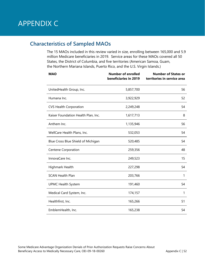# APPENDIX C

# **Characteristics of Sampled MAOs**

The 15 MAOs included in this review varied in size, enrolling between 165,000 and 5.9 million Medicare beneficiaries in 2019. Service areas for these MAOs covered all 50 States, the District of Columbia, and five territories (American Samoa, Guam, the Northern Mariana Islands, Puerto Rico, and the U.S. Virgin Islands.)

| <b>MAO</b>                          | <b>Number of enrolled</b><br>beneficiaries in 2019 | <b>Number of States or</b><br>territories in service area |
|-------------------------------------|----------------------------------------------------|-----------------------------------------------------------|
| UnitedHealth Group, Inc.            | 5,857,700                                          | 56                                                        |
| Humana Inc.                         | 3,922,929                                          | 52                                                        |
| <b>CVS Health Corporation</b>       | 2,249,248                                          | 54                                                        |
| Kaiser Foundation Health Plan, Inc. | 1,617,713                                          | 8                                                         |
| Anthem Inc.                         | 1,135,946                                          | 56                                                        |
| WellCare Health Plans, Inc.         | 532,053                                            | 54                                                        |
| Blue Cross Blue Shield of Michigan  | 520,485                                            | 54                                                        |
| Centene Corporation                 | 259,356                                            | 48                                                        |
| InnovaCare Inc.                     | 249,523                                            | 15                                                        |
| Highmark Health                     | 227,298                                            | 54                                                        |
| <b>SCAN Health Plan</b>             | 203,766                                            | 1                                                         |
| <b>UPMC Health System</b>           | 191,460                                            | 54                                                        |
| Medical Card System, Inc.           | 174,157                                            | 1                                                         |
| Healthfirst, Inc.                   | 165,266                                            | 51                                                        |
| EmblemHealth, Inc.                  | 165,238                                            | 54                                                        |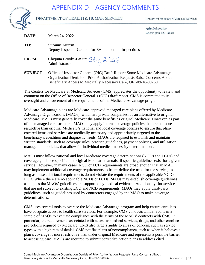# APPENDIX D - AGENCY COMMENTS



#### DEPARTMENT OF HEALTH & HUMAN SERVICES

Centers for Medicare & Medicaid Services

Administrator DC 20201

| DATE:           | March 24, 2022                                                                                                                                                                                                          | Washington, DC 2020 |
|-----------------|-------------------------------------------------------------------------------------------------------------------------------------------------------------------------------------------------------------------------|---------------------|
| TO:             | Suzanne Murrin<br>Deputy Inspector General for Evaluation and Inspections                                                                                                                                               |                     |
| <b>FROM:</b>    | Chiquita Brooks-LaSure Chy $\beta$ $\forall$ a $\Diamond$<br>Administrator                                                                                                                                              |                     |
| <b>SUBJECT:</b> | Office of Inspector General (OIG) Draft Report: Some Medicare Advantage<br>Organization Denials of Prior Authorization Requests Raise Concerns About<br>Beneficiary Access to Medically Necessary Care, OEI-09-18-00260 |                     |

The Centers for Medicare & Medicaid Services (CMS) appreciates the opportunity to review and comment on the Office of Inspector General's (OIG) draft report. CMS is committed to its oversight and enforcement of the requirements of the Medicare Advantage program.

Medicare Advantage plans are Medicare-approved managed care plans offered by Medicare Advantage Organizations (MAOs), which are private companies, as an alternative to original Medicare. MAOs must generally cover the same benefits as original Medicare. However, as part of the managed care structure, MAOs may apply internal coverage policies that are no more restrictive than original Medicare's national and local coverage policies to ensure that plancovered items and services are medically necessary and appropriately targeted to the beneficiary's condition and diagnostic needs. MAOs are required to establish and maintain written standards, such as coverage rules, practice guidelines, payment policies, and utilization management policies, that allow for individual medical necessity determinations.

MAOs must follow national and local Medicare coverage determinations (NCDs and LCDs) and coverage guidance specified in original Medicare manuals, if specific guidelines exist for a given service. However, in many cases, NCD or LCD requirements are broad enough that an MAO may implement additional coverage requirements to better define the need for the service, as long as these additional requirements do not violate the requirements of the applicable NCD or LCD. Where there are no applicable NCDs or LCDs, MAOs may establish coverage guidelines, as long as the MAOs' guidelines are supported by medical evidence. Additionally, for services that are not subject to existing LCD and NCD requirements, MAOs may apply third-party guidelines, such as guidelines used by contractors engaged by the MAO to make coverage determinations.

CMS uses several tools to oversee the Medicare Advantage program and help ensure enrollees have adequate access to health care services. For example, CMS conducts annual audits of a sample of MAOs to evaluate compliance with the terms of the MAOs' contracts with CMS; in particular, the requirements associated with access to medical services, drugs, and other enrollee protections required by Medicare. CMS also targets audits to areas of concern, such as service types with a high rate of denial. CMS notifies plans of noncompliance, such as when it believes a plan's coverage is more restrictive than under original Medicare and represents a possible barrier to accessing care. MAOs are required to submit corrective action plans to address cited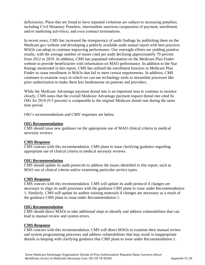deficiencies. Plans that are found to have repeated violations are subject to increasing penalties, including Civil Monetary Penalties, intermediate sanctions (suspension of payment, enrollment, and/or marketing activities), and even contract terminations.

In recent years, CMS has increased the transparency of audit findings by publishing them on the Medicare.gov website and developing a publicly available audit annual report with best practices MAOs can adopt to continue improving performance. Our oversight efforts are yielding positive results, with the average number of issues cited per audit declining approximately 70 percent from 2012 to 2019. In addition, CMS has populated information on the Medicare Plan Finder website to provide beneficiaries with information on MAO performance. In addition to the Star Ratings mentioned in this report, CMS has utilized the enrollment function in Medicare Plan Finder to cease enrollment in MAOs that fail to meet certain requirements. In addition, CMS continues to examine ways in which we can use technology tools to streamline processes like prior authorization to make them less burdensome on patients and providers.

While the Medicare Advantage payment denial rate is an important area to continue to monitor closely, CMS notes that the overall Medicare Advantage payment request denial rate cited by OIG for 2018 (9.5 percent) is comparable to the original Medicare denial rate during the same time period.

OIG's recommendations and CMS' responses are below.

#### **OIG Recommendation**

CMS should issue new guidance on the appropriate use of MAO clinical criteria in medical necessity reviews.

#### **CMS Response**

CMS concurs with this recommendation. CMS plans to issue clarifying guidance regarding appropriate use of clinical criteria in medical necessity reviews.

#### **OIG Recommendation**

CMS should update its audit protocols to address the issues identified in this report, such as MAO use of clinical criteria and/or examining particular service types.

#### **CMS Response**

CMS concurs with this recommendation. CMS will update its audit protocol if changes are necessary to align its audit processes with the guidance CMS plans to issue under Recommendation 1. Similarly, CMS will update its auditor training materials if changes are necessary as a result of the guidance CMS plans to issue under Recommendation 1.

#### **OIG Recommendation**

CMS should direct MAOs to take additional steps to identify and address vulnerabilities that can lead to manual review and system errors.

#### **CMS Response**

CMS concurs with this recommendation. CMS will direct MAOs to examine their manual review and system programming processes and address vulnerabilities that may result in inappropriate denials in keeping with clarifying guidance that CMS plans to issue under Recommendation 1.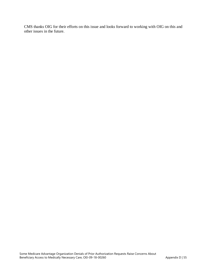CMS thanks OIG for their efforts on this issue and looks forward to working with OIG on this and other issues in the future.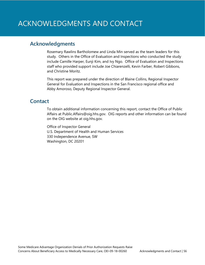# **Acknowledgments**

Rosemary Rawlins Bartholomew and Linda Min served as the team leaders for this study. Others in the Office of Evaluation and Inspections who conducted the study include Camille Harper, Eunji Kim, and Ivy Ngo. Office of Evaluation and Inspections staff who provided support include Joe Chiarenzelli, Kevin Farber, Robert Gibbons, and Christine Moritz.

This report was prepared under the direction of Blaine Collins, Regional Inspector General for Evaluation and Inspections in the San Francisco regional office and Abby Amoroso, Deputy Regional Inspector General.

# **Contact**

To obtain additional information concerning this report, contact the Office of Public Affairs at [Public.Affairs@oig.hhs.gov.](mailto:Public.Affairs@oig.hhs.gov) OIG reports and other information can be found on the OIG website at [oig.hhs.gov.](https://oig.hhs.gov/) 

Office of Inspector General U.S. Department of Health and Human Services 330 Independence Avenue, SW Washington, DC 20201